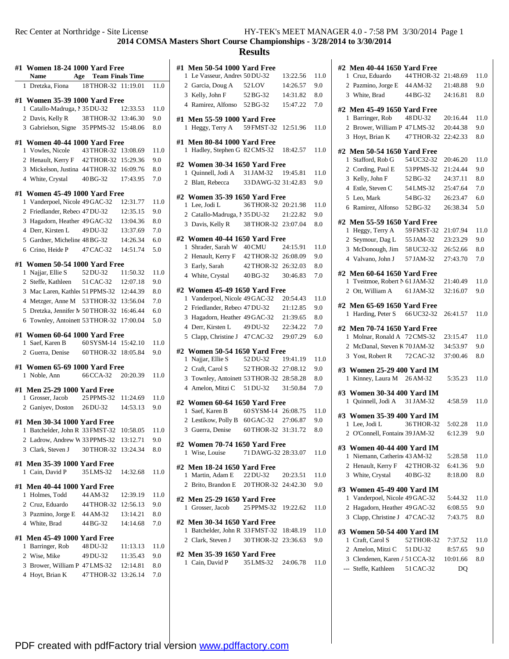## **COMSA Masters Short Course Championships - 3/28/2014 to 3/30/2014**

| #1 Women 18-24 1000 Yard Free                    |                             |          |      |
|--------------------------------------------------|-----------------------------|----------|------|
| Name                                             | <b>Age</b> Team Finals Time |          |      |
| 1 Dretzka, Fiona                                 | 18 THOR-32 11:19.01         |          | 11.0 |
| #1 Women 35-39 1000 Yard Free                    |                             |          |      |
| 1 Catallo-Madruga, 1 35 DU-32 12:33.53           |                             |          | 11.0 |
| 2 Davis, Kelly R                                 | 38 THOR-32 13:46.30         |          | 9.0  |
| 3 Gabrielson, Signe 35 PPMS-32 15:48.06          |                             |          | 8.0  |
| #1 Women 40-44 1000 Yard Free                    |                             |          |      |
| 1 Vowles, Nicole 43 THOR-32 13:08.69             |                             |          | 11.0 |
| 2 Henault, Kerry F 42 THOR-32 15:29.36           |                             |          | 9.0  |
| 3 Mickelson, Justina 44 THOR-32 16:09.76         |                             |          | 8.0  |
| 4 White, Crystal                                 | 40 BG-32                    | 17:43.95 | 7.0  |
|                                                  |                             |          |      |
| #1 Women 45-49 1000 Yard Free                    |                             |          |      |
| 1 Vanderpoel, Nicole 49 GAC-32                   |                             | 12:31.77 | 11.0 |
| 2 Friedlander, Rebect 47 DU-32                   |                             | 12:35.15 | 9.0  |
| 3 Hagadorn, Heather 49 GAC-32                    |                             | 13:04.36 | 8.0  |
| 4 Derr, Kirsten L 49 DU-32                       |                             | 13:37.69 | 7.0  |
| 5 Gardner, Micheline 48 BG-32                    |                             | 14:26.34 | 6.0  |
| 6 Crino, Heide P 47 CAC-32                       |                             | 14:51.74 | 5.0  |
| #1 Women 50-54 1000 Yard Free                    |                             |          |      |
| 1 Najjar, Ellie S                                | 52 DU-32                    | 11:50.32 | 11.0 |
| 2 Steffe, Kathleen                               | 51 CAC-32 12:07.18          |          | 9.0  |
| 3 Mac Laren, Kathlet 51 PPMS-32                  |                             | 12:44.39 | 8.0  |
| 4 Metzger, Anne M 53 THOR-32 13:56.04            |                             |          | 7.0  |
| 5 Dretzka, Jennifer N 50 THOR-32 16:46.44        |                             |          | 6.0  |
| 6 Townley, Antoinett 53 THOR-32 17:00.04         |                             |          | 5.0  |
| #1 Women 60-64 1000 Yard Free                    |                             |          |      |
| 1 Saef, Karen B                                  | 60 SYSM-14 15:42.10         |          | 11.0 |
| 2 Guerra, Denise 60 THOR-32 18:05.84             |                             |          | 9.0  |
| #1 Women 65-69 1000 Yard Free                    |                             |          |      |
| 1 Noble, Ann                                     | 66 CCA-32 20:20.39          |          | 11.0 |
|                                                  |                             |          |      |
| #1 Men 25-29 1000 Yard Free                      |                             |          |      |
| 1 Grosser, Jacob                                 | 25 PPMS-32                  | 11:24.69 | 11.0 |
| 2 Ganiyev, Doston 26 DU-32                       |                             | 14:53.13 | 9.0  |
| #1 Men 30-34 1000 Yard Free                      |                             |          |      |
| 1 Batchelder, John R 33 FMST-32 10:58.05 11.0    |                             |          |      |
| 2 Ladrow, Andrew W 33 PPMS-32 13:12.71           |                             |          | 9.0  |
| 3 Clark, Steven J                                | 30 THOR-32 13:24.34         |          | 8.0  |
| #1 Men 35-39 1000 Yard Free                      |                             |          |      |
| 1 Cain, David P                                  | 35 LMS-32                   | 14:32.68 | 11.0 |
|                                                  |                             |          |      |
| #1 Men 40-44 1000 Yard Free                      |                             |          |      |
| 1 Holmes, Todd                                   | 44 AM-32                    | 12:39.19 | 11.0 |
| 2 Cruz, Eduardo                                  | 44 THOR-32 12:56.13         |          | 9.0  |
| 3 Pazmino, Jorge E 44 AM-32                      |                             | 13:14.21 | 8.0  |
| 4 White, Brad                                    | 44 BG-32                    | 14:14.68 | 7.0  |
| #1 Men 45-49 1000 Yard Free                      |                             |          |      |
| 1 Barringer, Rob                                 | 48 DU-32                    | 11:13.13 | 11.0 |
| 2 Wise, Mike                                     | 49 DU-32                    | 11:35.43 | 9.0  |
|                                                  |                             |          |      |
|                                                  |                             | 12:14.81 | 8.0  |
| 3 Brower, William P 47 LMS-32<br>4 Hoyt, Brian K | 47 THOR-32 13:26.14         |          | 7.0  |

| #1 Men 50-54 1000 Yard Free              |                     |          |      |
|------------------------------------------|---------------------|----------|------|
| 1 Le Vasseur, Andrey 50 DU-32            |                     | 13:22.56 | 11.0 |
| 2 Garcia, Doug A                         | 52 LOV              | 14:26.57 | 9.0  |
| 3 Kelly, John F 52 BG-32                 |                     | 14:31.82 | 8.0  |
| 4 Ramirez, Alfonso 52 BG-32              |                     | 15:47.22 | 7.0  |
| #1 Men 55-59 1000 Yard Free              |                     |          |      |
| 1 Heggy, Terry A                         | 59 FMST-32          | 12:51.96 | 11.0 |
|                                          |                     |          |      |
| #1 Men 80-84 1000 Yard Free              |                     |          |      |
| 1 Hadley, Stephen G 82 CMS-32            |                     | 18:42.57 | 11.0 |
| #2 Women 30-34 1650 Yard Free            |                     |          |      |
| 1 Quinnell, Jodi A 31 JAM-32             |                     | 19:45.81 | 11.0 |
| 2 Blatt, Rebecca                         | 33 DAWG-32 31:42.83 |          | 9.0  |
| #2 Women 35-39 1650 Yard Free            |                     |          |      |
| 1 Lee, Jodi L                            | 36 THOR-32 20:21.98 |          | 11.0 |
| 2 Catallo-Madruga, 1 35 DU-32            |                     | 21:22.82 | 9.0  |
| 3 Davis, Kelly R                         | 38 THOR-32 23:07.04 |          | 8.0  |
|                                          |                     |          |      |
| #2 Women 40-44 1650 Yard Free            |                     |          |      |
| 1 Shrader, Sarah W 40 CMU                |                     | 24:15.91 | 11.0 |
| 2 Henault, Kerry F 42 THOR-32 26:08.09   |                     |          | 9.0  |
| 3 Early, Sarah                           | 42 THOR-32 26:32.03 |          | 8.0  |
| 4 White, Crystal 40 BG-32 30:46.83       |                     |          | 7.0  |
| #2 Women 45-49 1650 Yard Free            |                     |          |      |
| 1 Vanderpoel, Nicole 49 GAC-32           |                     | 20:54.43 | 11.0 |
| 2 Friedlander, Rebecc 47 DU-32           |                     | 21:12.85 | 9.0  |
| 3 Hagadorn, Heather 49 GAC-32            |                     | 21:39.65 | 8.0  |
| 4 Derr, Kirsten L 49 DU-32               |                     | 22:34.22 | 7.0  |
| 5 Clapp, Christine J 47 CAC-32 29:07.29  |                     |          | 6.0  |
|                                          |                     |          |      |
| #2 Women 50-54 1650 Yard Free            |                     |          | 11.0 |
| 1 Najjar, Ellie S                        | 52 DU-32            | 19:41.19 |      |
| 2 Craft, Carol S                         | 52 THOR-32 27:08.12 |          | 9.0  |
| 3 Townley, Antoinett 53 THOR-32 28:58.28 |                     |          | 8.0  |
| 4 Amelon, Mitzi C 51 DU-32               |                     | 31:50.84 | 7.0  |
| #2 Women 60-64 1650 Yard Free            |                     |          |      |
| 1 Saef, Karen B                          | 60 SYSM-14 26:08.75 |          | 11.0 |
| 2 Lestikow, Polly B 60 GAC-32 27:06.87   |                     |          | 9.0  |
| 3 Guerra, Denise                         | 60 THOR-32 31:31.72 |          | 8.0  |
| #2  Women 70-74 1650 Yard Free           |                     |          |      |
| 1 Wise, Louise                           | 71 DAWG-32 28:33.07 |          | 11.0 |
|                                          |                     |          |      |
| #2 Men 18-24 1650 Yard Free              |                     |          |      |
| 1 Martin, Adam E 22 DU-32 20:23.51       |                     |          | 11.0 |
| 2 Brito, Brandon E 20 THOR-32 24:42.30   |                     |          | 9.0  |
| #2  Men 25-29 1650 Yard Free             |                     |          |      |
| 1 Grosser, Jacob 25 PPMS-32 19:22.62     |                     |          | 11.0 |
| #2 Men 30-34 1650 Yard Free              |                     |          |      |
| 1 Batchelder, John R 33 FMST-32 18:48.19 |                     |          | 11.0 |
| 2 Clark, Steven J 30 THOR-32 23:36.63    |                     |          | 9.0  |
|                                          |                     |          |      |
| #2 Men 35-39 1650 Yard Free              |                     |          |      |
| 1 Cain, David P                          | 35 LMS-32           | 24:06.78 | 11.0 |
|                                          |                     |          |      |

| #2 Men 40-44 1650 Yard Free    |            |          |      |
|--------------------------------|------------|----------|------|
| 1 Cruz, Eduardo                | 44 THOR-32 | 21:48.69 | 11.0 |
| 2 Pazmino, Jorge E 44 AM-32    |            | 21:48.88 | 9.0  |
| 3 White, Brad                  | 44 BG-32   | 24:16.81 | 8.0  |
| #2 Men 45-49 1650 Yard Free    |            |          |      |
| 1 Barringer, Rob               | 48 DU-32   | 20:16.44 | 11.0 |
| 2 Brower, William P 47 LMS-32  |            | 20:44.38 | 9.0  |
| 3 Hoyt, Brian K                | 47 THOR-32 | 22:42.33 | 8.0  |
| #2 Men 50-54 1650 Yard Free    |            |          |      |
| 1 Stafford, Rob G              | 54 UC32-32 | 20:46.20 | 11.0 |
| 2 Cording, Paul E              | 53 PPMS-32 | 21:24.44 | 9.0  |
| 3 Kelly, John F                | 52 BG-32   | 24:37.11 | 8.0  |
| 4 Estle, Steven C              | 54 LMS-32  | 25:47.64 | 7.0  |
|                                | 54 BG-32   |          | 6.0  |
| 5 Leo, Mark                    |            | 26:23.47 |      |
| 6 Ramirez, Alfonso             | 52 BG-32   | 26:38.34 | 5.0  |
| #2 Men 55-59 1650 Yard Free    |            |          |      |
| 1 Heggy, Terry A               | 59 FMST-32 | 21:07.94 | 11.0 |
| 2 Seymour, Dag L               | 55 JAM-32  | 23:23.29 | 9.0  |
| 3 McDonough, Jim               | 58 UC32-32 | 26:52.66 | 8.0  |
| 4 Valvano, John J              | 57 JAM-32  | 27:43.70 | 7.0  |
| #2 Men 60-64 1650 Yard Free    |            |          |      |
| 1 Tveitmoe, Robert N 61 JAM-32 |            | 21:40.49 | 11.0 |
| 2 Ott, William A               | 61 JAM-32  | 32:16.07 | 9.0  |
|                                |            |          |      |
| #2 Men 65-69 1650 Yard Free    |            |          |      |
| 1 Harding, Peter S 66 UC32-32  |            | 26:41.57 | 11.0 |
| #2  Men 70-74 1650 Yard Free   |            |          |      |
| 1 Molnar, Ronald A 72 CMS-32   |            | 23:15.47 | 11.0 |
| 2 McDanal, Steven K 70JAM-32   |            | 34:53.97 | 9.0  |
| 3 Yost, Robert R               | 72 CAC-32  | 37:00.46 | 8.0  |
|                                |            |          |      |
| #3 Women 25-29 400 Yard IM     |            |          |      |
| 1 Kinney, Laura M              | 26 AM-32   | 5:35.23  | 11.0 |
| #3 Women 30-34 400 Yard IM     |            |          |      |
| 1 Quinnell, Jodi A 31 JAM-32   |            | 4:58.59  | 11.0 |
| #3 Women 35-39 400 Yard IM     |            |          |      |
| 1 Lee, Jodi L                  | 36THOR-32  | 5:02.28  | 11.0 |
| 2 O'Connell, Fontain 39 JAM-32 |            | 6:12.39  | 9.0  |
|                                |            |          |      |
| #3 Women 40-44 400 Yard IM     |            |          |      |
| 1 Niemann, Catherin 43 AM-32   |            | 5:28.58  | 11.0 |
| 2 Henault, Kerry F 42 THOR-32  |            | 6:41.36  | 9.0  |
| 3 White, Crystal               | 40 BG-32   | 8:18.00  | 8.0  |
| #3 Women 45-49 400 Yard IM     |            |          |      |
| 1 Vanderpoel, Nicole 49 GAC-32 |            | 5:44.32  | 11.0 |
| 2 Hagadorn, Heather 49 GAC-32  |            | 6:08.55  | 9.0  |
| 3 Clapp, Christine J 47 CAC-32 |            | 7:43.75  | 8.0  |
|                                |            |          |      |
| #3 Women 50-54 400 Yard IM     |            |          |      |
| 1 Craft, Carol S               | 52 THOR-32 | 7:37.52  | 11.0 |
| 2 Amelon, Mitzi C 51 DU-32     |            | 8:57.65  | 9.0  |
| 3 Clendenen, Karen / 51 CCA-32 |            | 10:01.66 | 8.0  |
| --- Steffe, Kathleen 51 CAC-32 |            | DO       |      |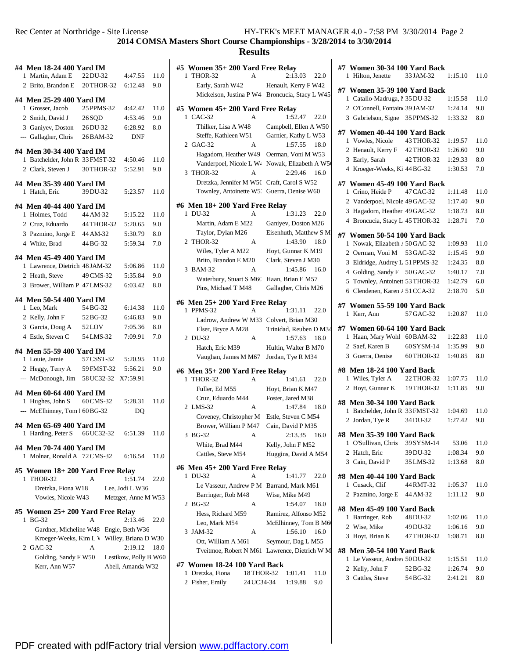### **Results**

| #4 Men 18-24 400 Yard IM                     |            |                       |      |
|----------------------------------------------|------------|-----------------------|------|
| 1 Martin, Adam E 22 DU-32                    |            | 4:47.55               | 11.0 |
| 2 Brito, Brandon E 20THOR-32                 |            | 6:12.48               | 9.0  |
| #4 Men 25-29 400 Yard IM                     |            |                       |      |
| 1 Grosser, Jacob                             | 25 PPMS-32 | 4:42.42               | 11.0 |
| 2 Smith, David J 26SOD                       |            | 4:53.46               | 9.0  |
| 3 Ganiyev, Doston 26 DU-32                   |            | 6:28.92               | 8.0  |
| --- Gallagher, Chris                         | 26BAM-32   | <b>DNF</b>            |      |
| #4 Men 30-34 400 Yard IM                     |            |                       |      |
| 1 Batchelder, John R 33 FMST-32 4:50.46      |            |                       | 11.0 |
| 2 Clark, Steven J                            | 30 THOR-32 | 5:52.91               | 9.0  |
|                                              |            |                       |      |
| #4 Men 35-39 400 Yard IM                     |            |                       |      |
| 1 Hatch, Eric                                | 39 DU-32   | 5:23.57               | 11.0 |
| #4 Men 40-44 400 Yard IM                     |            |                       |      |
| 1 Holmes, Todd                               | 44 AM-32   | 5:15.22               | 11.0 |
| 2 Cruz, Eduardo 44 THOR-32                   |            | 5:20.65               | 9.0  |
| 3 Pazmino, Jorge E 44 AM-32                  |            | 5:30.79               | 8.0  |
| 4 White, Brad                                | 44 BG-32   | 5:59.34               | 7.0  |
|                                              |            |                       |      |
| #4 Men 45-49 400 Yard IM                     |            |                       |      |
| 1 Lawrence, Dietrich 48 JAM-32               |            | 5:06.86               | 11.0 |
| 2 Heath, Steve                               | 49 CMS-32  | 5:35.84               | 9.0  |
| 3 Brower, William P 47 LMS-32                |            | 6:03.42               | 8.0  |
| #4 Men 50-54 400 Yard IM                     |            |                       |      |
| 1 Leo, Mark                                  | 54 BG-32   | 6:14.38               | 11.0 |
| 2 Kelly, John F                              | 52 BG-32   | 6:46.83               | 9.0  |
| 3 Garcia, Doug A 52LOV                       |            | 7:05.36               | 8.0  |
| 4 Estle, Steven C                            | 54 LMS-32  | 7:09.91               | 7.0  |
|                                              |            |                       |      |
| #4 Men 55-59 400 Yard IM<br>1 Louie, Jamie   |            | 57 CSST-32 5:20.95    | 11.0 |
|                                              |            |                       |      |
| 2 Heggy, Terry A 59 FMST-32                  |            | 5:56.21               | 9.0  |
| --- McDonough, Jim 58 UC32-32 X7:59.91       |            |                       |      |
| #4 Men 60-64 400 Yard IM                     |            |                       |      |
| 1 Hughes, John S                             | 60 CMS-32  | 5:28.31               | 11.0 |
| --- McElhinney, Tom 1 60 BG-32               |            | DO                    |      |
|                                              |            |                       |      |
| #4 Men 65-69 400 Yard IM<br>Harding, Peter S | 66 UC32-32 | 6:51.39               | 11.0 |
| 1                                            |            |                       |      |
| #4 Men 70-74 400 Yard IM                     |            |                       |      |
| 1 Molnar, Ronald A 72 CMS-32                 |            | 6:16.54               | 11.0 |
| #5 Women 18+200 Yard Free Relay              |            |                       |      |
| THOR-32<br>1                                 | A          | 1:51.74               | 22.0 |
| Dretzka, Fiona W18                           |            | Lee, Jodi L W36       |      |
| Vowles, Nicole W43                           |            | Metzger, Anne M W53   |      |
|                                              |            |                       |      |
| #5 Women 25+ 200 Yard Free Relay             |            |                       |      |
| <b>BG-32</b><br>1                            | А          | 2:13.46               | 22.0 |
| Gardner, Micheline W48 Engle, Beth W36       |            |                       |      |
| Kroeger-Weeks, Kim L V Willey, Briana D W30  |            |                       |      |
| 2 GAC-32                                     | А          | 2:19.12               | 18.0 |
| Golding, Sandy F W50                         |            | Lestikow, Polly B W60 |      |
| Kerr, Ann W57                                |            | Abell, Amanda W32     |      |
|                                              |            |                       |      |
|                                              |            |                       |      |

| #5 Women 35+ 200 Yard Free Relay                 |                                               |
|--------------------------------------------------|-----------------------------------------------|
| 1 THOR-32<br>A                                   | 2:13.03<br>22.0                               |
| Early, Sarah W42                                 | Henault, Kerry F W42                          |
| Mickelson, Justina P W4 Broncucia, Stacy L W45   |                                               |
| #5 Women 45+ 200 Yard Free Relay                 |                                               |
| 1 CAC-32<br>А                                    | 1:52.47<br>22.0                               |
| Thilker, Lisa A W48                              | Campbell, Ellen A W50                         |
| Steffe, Kathleen W51                             | Garnier, Kathy L W53                          |
| 2 GAC-32<br>A                                    | 1:57.55<br>18.0                               |
| Hagadorn, Heather W49                            | Oerman, Voni M W53                            |
| Vanderpoel, Nicole L W4                          | Nowak, Elizabeth A W50                        |
| THOR-32<br>3<br>A                                | 2:29.46 16.0                                  |
| Dretzka, Jennifer M W50                          | Craft, Carol S W52                            |
| Townley, Antoinette W5.                          | Guerra, Denise W60                            |
| #6 Men 18+ 200 Yard Free Relay                   |                                               |
| 1 DU-32                                          | 1:31.23<br>22.0                               |
| Martin, Adam E M22                               | Ganiyev, Doston M26                           |
| Taylor, Dylan M26                                | Eisenhuth, Matthew S M                        |
| THOR-32<br>2<br>A                                | 1:43.90<br>18.0                               |
| Wiles, Tyler A M22                               | Hoyt, Gunnar K M19                            |
| Brito, Brandon E M20                             | Clark, Steven J M30                           |
| 3<br><b>BAM-32</b><br>A                          | 1:45.86<br>16.0                               |
| Waterbury, Stuart S M60                          | Haan, Brian E M57                             |
| Pins, Michael T M48                              | Gallagher, Chris M26                          |
|                                                  |                                               |
| #6 Men 25+ 200 Yard Free Relay<br>1 PPMS-32<br>А | 1:31.11<br>22.0                               |
| Ladrow, Andrew W M33                             | Colvert, Brian M30                            |
| Elser, Bryce A M28                               | Trinidad, Reuben D M34                        |
| 2 DU-32<br>A                                     | 1:57.63<br>18.0                               |
| Hatch, Eric M39                                  | Hultin, Walter B M70                          |
| Vaughan, James M M67                             | Jordan, Tye R M34                             |
|                                                  |                                               |
| #6 Men 35+ 200 Yard Free Relay                   |                                               |
| 1 THOR-32<br>A                                   | 1:41.61<br>22.0                               |
| Fuller, Ed M55                                   | Hoyt, Brian K M47                             |
| Cruz, Eduardo M44                                | Foster, Jared M38<br>1:47.84                  |
| 2 LMS-32<br>А                                    | 18.0                                          |
| Coveney, Christopher M                           | Estle, Steven C M54                           |
| Brower, William P M47                            | Cain, David P M35                             |
| 3 BG-32<br>A                                     | 2:13.35<br>16.0                               |
| White, Brad M44                                  | Kelly, John F M52                             |
| Cattles, Steve M54                               | Huggins, David A M54                          |
| #6 Men 45+ 200 Yard Free Relay                   |                                               |
| 1 DU-32<br>А                                     | 1:41.77<br>22.0                               |
| Le Vasseur, Andrew P M Barrand, Mark M61         |                                               |
| Barringer, Rob M48                               | Wise, Mike M49                                |
| <b>BG-32</b><br>2<br>А                           | 1:54.07<br>18.0                               |
| Hess, Richard M59                                | Ramirez, Alfonso M52                          |
| Leo, Mark M54                                    | McElhinney, Tom B M6                          |
| JAM-32<br>3.<br>Α                                | 1:56.10<br>16.0                               |
| Ott, William A M61                               | Seymour, Dag L M55                            |
|                                                  | Tveitmoe, Robert N M61 Lawrence, Dietrich W M |
| #7 Women 18-24 100 Yard Back                     |                                               |

1 Dretzka, Fiona 18THOR-32 1:01.41 11.0 2 Fisher, Emily 24UC34-34 1:19.88 9.0

| #7 Women 30-34 100 Yard Back                                  |                      |                    |            |
|---------------------------------------------------------------|----------------------|--------------------|------------|
| 1 Hilton, Jenette                                             | 33 JAM-32            | 1:15.10            | 11.0       |
|                                                               |                      |                    |            |
| #7 Women 35-39 100 Yard Back<br>1 Catallo-Madruga, 1 35 DU-32 |                      | 1:15.58            | 11.0       |
| 2 O'Connell, Fontain 39 JAM-32                                |                      | 1:24.14            | 9.0        |
| 3 Gabrielson, Signe 35 PPMS-32                                |                      | 1:33.32            | 8.0        |
|                                                               |                      |                    |            |
| #7 Women 40-44 100 Yard Back                                  |                      |                    |            |
| 1 Vowles, Nicole                                              | 43 THOR-32           | 1:19.57            | 11.0       |
| 2 Henault, Kerry F 42 THOR-32                                 |                      | 1:26.60            | 9.0        |
| 3 Early, Sarah                                                | 42 THOR-32           | 1:29.33            | 8.0        |
| 4 Kroeger-Weeks, Ki 44 BG-32                                  |                      | 1:30.53            | 7.0        |
| #7 Women 45-49 100 Yard Back                                  |                      |                    |            |
| 1 Crino, Heide P                                              | 47 CAC-32            | 1:11.48            | 11.0       |
| 2 Vanderpoel, Nicole 49 GAC-32                                |                      | 1:17.40            | 9.0        |
| 3 Hagadorn, Heather 49 GAC-32                                 |                      | 1:18.73            | 8.0        |
| 4 Broncucia, Stacy L 45 THOR-32                               |                      | 1:28.71            | 7.0        |
| #7 Women 50-54 100 Yard Back                                  |                      |                    |            |
| 1 Nowak, Elizabeth / 50 GAC-32                                |                      | 1:09.93            | 11.0       |
| 2 Oerman, Voni M 53 GAC-32                                    |                      | 1:15.45            | 9.0        |
| 3 Eldridge, Audrey L 51 PPMS-32                               |                      | 1:24.35            | 8.0        |
| 4 Golding, Sandy F 50 GAC-32                                  |                      | 1:40.17            | 7.0        |
| 5 Townley, Antoinett 53 THOR-32                               |                      | 1:42.79            | 6.0        |
| 6 Clendenen, Karen / 51 CCA-32                                |                      | 2:18.70            | 5.0        |
|                                                               |                      |                    |            |
| #7 Women 55-59 100 Yard Back                                  |                      | 1:20.87            |            |
| 1 Kerr, Ann                                                   | 57 GAC-32            |                    | 11.0       |
|                                                               |                      |                    |            |
| #7 Women 60-64 100 Yard Back                                  |                      |                    |            |
| 1 Haan, Mary Wohl 60 BAM-32                                   |                      | 1:22.83            | 11.0       |
| 2 Saef, Karen B                                               | 60 SYSM-14           | 1:35.99            | 9.0        |
| 3 Guerra, Denise                                              | 60 THOR-32           | 1:40.85            | 8.0        |
|                                                               |                      |                    |            |
| #8 Men 18-24 100 Yard Back<br>1 Wiles, Tyler A                | 22 THOR-32           | 1:07.75            | 11.0       |
| 2 Hoyt, Gunnar K 19THOR-32                                    |                      | 1:11.85            | 9.0        |
|                                                               |                      |                    |            |
| #8 Men 30-34 100 Yard Back                                    |                      |                    |            |
| 1 Batchelder, John R 33 FMST-32                               |                      | 1:04.69            | 11.0       |
| 2 Jordan, Tye R                                               | 34 DU-32             | 1:27.42            | 9.0        |
| #8 Men 35-39 100 Yard Back                                    |                      |                    |            |
| 1 O'Sullivan, Chris 39SYSM-14                                 |                      | 53.06              | 11.0       |
| 2 Hatch, Eric                                                 | 39 DU-32             | 1:08.34            | 9.0        |
| 3 Cain, David P                                               | 35 LMS-32            | 1:13.68            | 8.0        |
| #8 Men 40-44 100 Yard Back                                    |                      |                    |            |
| 1 Cusack, Clif                                                | 44 RMT-32            | 1:05.37            | 11.0       |
| 2 Pazmino, Jorge E 44 AM-32                                   |                      | 1:11.12            | 9.0        |
|                                                               |                      |                    |            |
| #8 Men 45-49 100 Yard Back<br>1 Barringer, Rob                |                      | 1:02.06            | 11.0       |
| 2 Wise, Mike                                                  | 48 DU-32<br>49 DU-32 | 1:06.16            | 9.0        |
| 3 Hoyt, Brian K                                               | 47 THOR-32           | 1:08.71            | 8.0        |
|                                                               |                      |                    |            |
| #8 Men 50-54 100 Yard Back                                    |                      |                    |            |
| 1 Le Vasseur, Andrey 50 DU-32                                 |                      | 1:15.51            | 11.0       |
| 2 Kelly, John F<br>3 Cattles, Steve                           | 52 BG-32<br>54 BG-32 | 1:26.74<br>2:41.21 | 9.0<br>8.0 |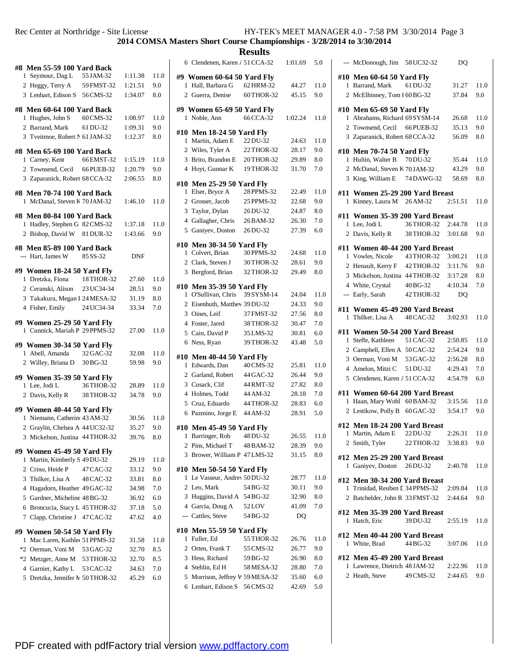**COMSA Masters Short Course Championships - 3/28/2014 to 3/30/2014**

| #8 Men 55-59 100 Yard Back<br>1 Seymour, Dag L                  | 55 JAM-32  | 1:11.38    | 11.0 |
|-----------------------------------------------------------------|------------|------------|------|
| 2 Heggy, Terry A 59 FMST-32                                     |            | 1:21.51    | 9.0  |
| 3 Lenhart, Edison S 56 CMS-32                                   |            | 1:34.07    | 8.0  |
|                                                                 |            |            |      |
| #8 Men 60-64 100 Yard Back                                      |            |            |      |
| 1 Hughes, John S                                                | 60 CMS-32  | 1:08.97    | 11.0 |
| 2 Barrand, Mark                                                 | 61 DU-32   | 1:09.31    | 9.0  |
| 3 Tveitmoe, Robert N 61 JAM-32                                  |            | 1:12.37    | 8.0  |
| #8 Men 65-69 100 Yard Back                                      |            |            |      |
| 1 Carney, Kent                                                  | 66 EMST-32 | 1:15.19    | 11.0 |
| 2 Townsend, Cecil 66 PUEB-32                                    |            | 1:20.79    | 9.0  |
| 3 Zaparanick, Robert 68 CCA-32                                  |            | 2:06.55    | 8.0  |
|                                                                 |            |            |      |
| #8  Men 70-74 100 Yard Back                                     |            |            |      |
| 1 McDanal, Steven K 70 JAM-32                                   |            | 1:46.10    | 11.0 |
| #8 Men 80-84 100 Yard Back                                      |            |            |      |
| 1 Hadley, Stephen G 82 CMS-32                                   |            | 1:37.18    | 11.0 |
| 2 Bishop, David W 81 DUR-32                                     |            | 1:43.66    | 9.0  |
| #8  Men 85-89 100 Yard Back                                     |            |            |      |
| --- Hart, James W 85 SS-32                                      |            | <b>DNF</b> |      |
|                                                                 |            |            |      |
| #9 Women 18-24 50 Yard Fly                                      |            |            |      |
| 1 Dretzka, Fiona                                                | 18 THOR-32 | 27.60      | 11.0 |
| 2 Ceranski, Alison                                              | 23 UC34-34 | 28.51      | 9.0  |
| 3 Takakura, Megan 1 24 MESA-32                                  |            | 31.19      | 8.0  |
| 4 Fisher, Emily                                                 | 24 UC34-34 | 33.34      | 7.0  |
| #9 Women 25-29 50 Yard Fly                                      |            |            |      |
| 1 Cunnick, Mariah P 29 PPMS-32                                  |            | 27.00      | 11.0 |
|                                                                 |            |            |      |
| #9 Women 30-34 50 Yard Fly<br>1 Abell, Amanda                   | 32 GAC-32  | 32.08      | 11.0 |
| 2 Willey, Briana D 30 BG-32                                     |            | 59.98      | 9.0  |
|                                                                 |            |            |      |
| #9 Women 35-39 50 Yard Fly                                      |            |            |      |
| 1 Lee, Jodi L                                                   | 36 THOR-32 | 28.89      | 11.0 |
| 2 Davis, Kelly R                                                | 38 THOR-32 | 34.78      | 9.0  |
| #9 Women 40-44 50 Yard Fly                                      |            |            |      |
| 1 Niemann, Catherin 43 AM-32                                    |            | 30.56      | 11.0 |
| 2 Graylin, Chelsea A 44 UC32-32                                 |            | 35.27      | 9.0  |
| 3 Mickelson, Justina 44 THOR-32                                 |            | 39.76      | 8.0  |
|                                                                 |            |            |      |
| #9 Women 45-49 50 Yard Fly<br>Martin, Kimberly S 49 DU-32<br>1  |            | 29.19      | 11.0 |
| Crino, Heide P<br>$\mathbf{2}$                                  | 47 CAC-32  | 33.12      | 9.0  |
|                                                                 |            | 33.81      | 8.0  |
| 3 Thilker, Lisa A 48 CAC-32<br>Hagadorn, Heather 49 GAC-32<br>4 |            | 34.98      | 7.0  |
| 5<br>Gardner, Micheline 48 BG-32                                |            | 36.92      | 6.0  |
| Broncucia, Stacy L 45 THOR-32<br>6                              |            | 37.18      | 5.0  |
|                                                                 |            |            |      |
| Clapp, Christine J 47 CAC-32<br>7                               |            | 47.62      | 4.0  |
| #9 Women 50-54 50 Yard Fly                                      |            |            |      |
| Mac Laren, Kathles 51 PPMS-32<br>1                              |            | 31.58      | 11.0 |
| *2 Oerman, Voni M 53 GAC-32                                     |            | 32.70      | 8.5  |
| *2 Metzger, Anne M 53 THOR-32                                   |            | 32.70      | 8.5  |
| 4 Garnier, Kathy L 53 CAC-32                                    |            | 34.63      | 7.0  |
| Dretzka, Jennifer N 50 THOR-32<br>5                             |            | 45.29      | 6.0  |
|                                                                 |            |            |      |

| 6 Clendenen, Karen / 51 CCA-32                                   | 1:01.69 | 5.0          |
|------------------------------------------------------------------|---------|--------------|
| #9 Women 60-64 50 Yard Fly                                       |         |              |
| Hall, Barbara G<br>62 HRM-32<br>1                                | 44.27   | 11.0         |
| 2 Guerra, Denise<br>60 THOR-32                                   | 45.15   | 9.0          |
| #9 Women 65-69 50 Yard Fly                                       |         |              |
| 66 CCA-32<br>Noble, Ann<br>1                                     | 1:02.24 | 11.0         |
|                                                                  |         |              |
| #10 Men 18-24 50 Yard Fly<br>Martin, Adam E<br>22 DU-32<br>1     | 24.63   | 11.0         |
| 2 Wiles, Tyler A<br>22 THOR-32                                   | 28.17   | 9.0          |
| 3 Brito, Brandon E<br>20 THOR-32                                 | 29.89   | $_{\rm 8.0}$ |
| Hoyt, Gunnar K<br>19 THOR-32<br>$\overline{4}$                   | 31.70   | 7.0          |
| #10 Men 25-29 50 Yard Fly                                        |         |              |
| 28 PPMS-32<br>Elser, Bryce A<br>1                                | 22.49   | 11.0         |
| 2<br>Grosser, Jacob<br>25 PPMS-32                                | 22.68   | 9.0          |
| 3<br>Taylor, Dylan<br>26 DU-32                                   | 24.87   | 8.0          |
| Gallagher, Chris<br>$\overline{4}$<br>26 BAM-32                  | 26.30   | 7.0          |
| Ganiyev, Doston<br>26 DU-32<br>5                                 | 27.39   | 6.0          |
| <b>Men 30-34 50 Yard Fly</b><br>#10                              |         |              |
| 30 PPMS-32<br>Colvert, Brian<br>1                                | 24.68   | 11.0         |
| 2<br>Clark, Steven J<br>30 THOR-32                               | 28.61   | 9.0          |
| 3<br>Bergford, Brian<br>32 THOR-32                               | 29.49   | 8.0          |
| #10 Men 35-39 50 Yard Fly                                        |         |              |
| O'Sullivan, Chris<br>39 SYSM-14<br>1                             | 24.04   | 11.0         |
| 2 Eisenhuth, Matthev 39 DU-32                                    | 24.33   | 9.0          |
| 3 Oines, Leif<br>37 FMST-32                                      | 27.56   | 8.0          |
| 4 Foster, Jared<br>38 THOR-32                                    | 30.47   | 7.0          |
| 5 Cain, David P<br>35 LMS-32                                     | 30.81   | 6.0          |
| 39 THOR-32<br>Ness, Ryan<br>6                                    | 43.48   | 5.0          |
| #10 Men 40-44 50 Yard Fly                                        |         |              |
| Edwards, Dan<br>40 CMS-32<br>1                                   | 25.81   | 11.0         |
| 2 Garland, Robert<br>44 GAC-32                                   | 26.44   | 9.0          |
| 3 Cusack, Clif<br>44 RMT-32                                      | 27.82   | 8.0          |
| 4 Holmes, Todd<br>44 AM-32                                       | 28.18   | 7.0          |
| 5<br>Cruz, Eduardo<br>44 THOR-32                                 | 28.83   | 6.0          |
| Pazmino, Jorge E<br>44 AM-32<br>6                                | 28.91   | 5.0          |
| <b>Men 45-49 50 Yard Fly</b><br>#10                              |         |              |
| Barringer, Rob<br>48 DU-32<br>1                                  | 26.55   | 11.0         |
| Pins, Michael T<br>2<br>48 BAM-32                                | 28.39   | 9.0          |
| Brower, William P 47 LMS-32<br>3                                 | 31.15   | $_{\rm 8.0}$ |
| #10                                                              |         |              |
| <b>Men 50-54 50 Yard Fly</b><br>Le Vasseur, Andrey 50 DU-32<br>1 | 28.77   | 11.0         |
| 2<br>Leo, Mark<br>54 BG-32                                       | 30.11   | 9.0          |
| 3<br>Huggins, David A 54 BG-32                                   | 32.90   | 8.0          |
| 4 Garcia, Doug A<br>52LOV                                        | 41.09   | 7.0          |
| --- Cattles, Steve<br>54 BG-32                                   | DQ      |              |
|                                                                  |         |              |
| #10 Men 55-59 50 Yard Fly<br>Fuller, Ed<br>55 THOR-32<br>1       | 26.76   | 11.0         |
| 2<br>Orten, Frank T<br>55 CMS-32                                 | 26.77   | 9.0          |
| 3<br>Hess, Richard<br>59 BG-32                                   | 26.90   | 8.0          |
| 4 Stehlin, Ed H<br>58 MESA-32                                    | 28.80   | 7.0          |
| Morrison, Jeffrey W 59 MESA-32<br>5                              | 35.60   | 6.0          |
| Lenhart, Edison S 56 CMS-32<br>6                                 | 42.69   | 5.0          |
|                                                                  |         |              |

|              | --- McDonough, Jim 58 UC32-32                                   |                      | DQ      |         |
|--------------|-----------------------------------------------------------------|----------------------|---------|---------|
|              | #10 Men 60-64 50 Yard Fly                                       |                      |         |         |
|              | 1 Barrand, Mark                                                 | 61 DU-32             | 31.27   | 11.0    |
|              | 2 McElhinney, Tom 1 60 BG-32                                    |                      | 37.84   | 9.0     |
|              | #10 Men 65-69 50 Yard Fly                                       |                      |         |         |
|              | 1 Abrahams, Richard 69 SYSM-14                                  |                      | 26.68   | 11.0    |
|              | 2 Townsend, Cecil                                               | 66 PUEB-32           | 35.13   | 9.0     |
|              | 3 Zaparanick, Robert 68 CCA-32                                  |                      | 56.09   | $8.0\,$ |
|              | #10 Men 70-74 50 Yard Fly                                       |                      |         |         |
|              | 1 Hultin, Walter B                                              | 70 DU-32             | 35.44   | 11.0    |
|              | 2 McDanal, Steven K 70JAM-32                                    |                      | 43.29   | 9.0     |
|              | 3 King, William E 74 DAWG-32                                    |                      | 58.69   | 8.0     |
| #11          | Women 25-29 200 Yard Breast                                     |                      |         |         |
| $\mathbf{1}$ | Kinney, Laura M 26 AM-32                                        |                      | 2:51.51 | 11.0    |
|              | #11 Women 35-39 200 Yard Breast                                 |                      |         |         |
|              | 1 Lee, Jodi L                                                   | 36THOR-32            | 2:44.78 | 11.0    |
|              | 2 Davis, Kelly R                                                | 38 THOR-32           | 3:01.68 | 9.0     |
|              | #11 Women 40-44 200 Yard Breast                                 |                      |         |         |
|              | 1 Vowles, Nicole                                                | 43 THOR-32           | 3:00.21 | 11.0    |
|              | 2 Henault, Kerry F 42 THOR-32                                   |                      | 3:11.76 | 9.0     |
|              | 3 Mickelson, Justina 44 THOR-32                                 |                      | 3:17.28 | $8.0\,$ |
|              | 4 White, Crystal                                                | 40 BG-32             | 4:10.34 | 7.0     |
|              | --- Early, Sarah                                                | 42 THOR-32           | DQ      |         |
|              | #11 Women 45-49 200 Yard Breast<br>Thilker, Lisa A              | 48 CAC-32            | 3:02.93 | 11.0    |
|              |                                                                 |                      |         |         |
| 1            |                                                                 |                      |         |         |
|              | #11   Women 50-54 200 Yard Breast                               |                      |         |         |
| 1            | Steffe, Kathleen                                                | 51 CAC-32            | 2:50.85 | 11.0    |
|              | 2 Campbell, Ellen A 50 CAC-32                                   |                      | 2:54.24 | 9.0     |
|              | 3 Oerman, Voni M 53 GAC-32                                      |                      | 2:56.28 | 8.0     |
|              | 4 Amelon, Mitzi C                                               | 51 DU-32             | 4:29.43 | 7.0     |
|              | 5 Clendenen, Karen / 51 CCA-32                                  |                      | 4:54.79 | 6.0     |
| #11          | Women 60-64 200 Yard Breast                                     |                      |         |         |
|              | 1 Haan, Mary Wohl 60 BAM-32                                     |                      | 3:15.56 | 11.0    |
|              | 2 Lestikow, Polly B 60 GAC-32                                   |                      | 3:54.17 | 9.0     |
|              | #12 Men 18-24 200 Yard Breast                                   |                      |         |         |
|              | 1 Martin, Adam E                                                | $22\,\mathrm{DU-}32$ | 2:26.31 | 11.0    |
|              | 2 Smith, Tyler                                                  | 22 THOR-32           | 3:38.83 | 9.0     |
|              | #12 Men 25-29 200 Yard Breast                                   |                      |         |         |
|              | 1 Ganiyev, Doston 26 DU-32                                      |                      | 2:40.78 | 11.0    |
|              | #12 Men 30-34 200 Yard Breast                                   |                      |         |         |
|              | 1 Trinidad, Reuben L 34 PPMS-32                                 |                      | 2:09.84 | 11.0    |
|              | 2 Batchelder, John R 33 FMST-32                                 |                      | 2:44.64 | 9.0     |
|              | #12 Men 35-39 200 Yard Breast                                   |                      |         |         |
|              | 1 Hatch, Eric                                                   | 39 DU-32             | 2:55.19 | 11.0    |
|              | #12  Men 40-44 200 Yard Breast                                  |                      |         |         |
|              | 1 White, Brad                                                   | 44 BG-32             | 3:07.06 | 11.0    |
|              |                                                                 |                      |         |         |
|              | #12 Men 45-49 200 Yard Breast<br>1 Lawrence, Dietrich 48 JAM-32 |                      | 2:22.96 | 11.0    |
|              | 2 Heath, Steve                                                  | 49 CMS-32            | 2:44.65 | 9.0     |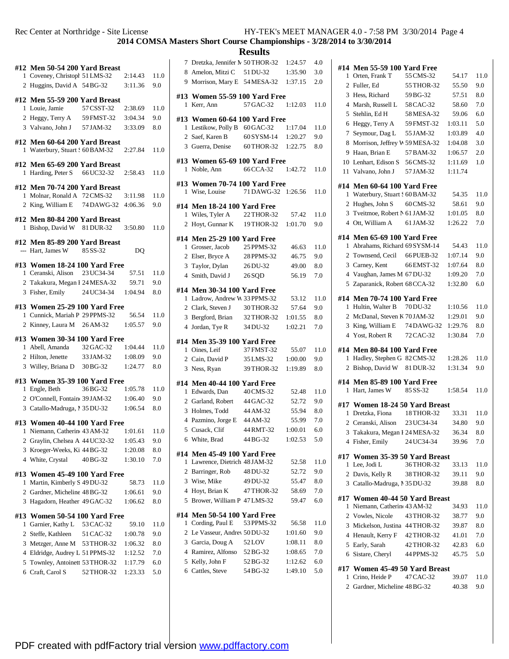| 1.             | #12 Men 50-54 200 Yard Breast<br>Coveney, Christopl 51 LMS-32<br>2 Huggins, David A 54 BG-32 |            | 2:14.43<br>3:11.36 | 11.0<br>9.0  |
|----------------|----------------------------------------------------------------------------------------------|------------|--------------------|--------------|
|                |                                                                                              |            |                    |              |
| 1              | #12 Men 55-59 200 Yard Breast<br>Louie, Jamie                                                | 57 CSST-32 | 2:38.69            | 11.0         |
|                | 2 Heggy, Terry A                                                                             | 59 FMST-32 | 3:04.34            | 9.0          |
|                | 3 Valvano, John J                                                                            | 57 JAM-32  | 3:33.09            | $_{\rm 8.0}$ |
|                |                                                                                              |            |                    |              |
| 1              | #12 Men 60-64 200 Yard Breast<br>Waterbury, Stuart : 60 BAM-32                               |            | 2:27.84            | 11.0         |
| 1              | #12 Men 65-69 200 Yard Breast<br>Harding, Peter S                                            | 66 UC32-32 | 2:58.43            | 11.0         |
|                | #12 Men 70-74 200 Yard Breast                                                                |            |                    |              |
| 1.             | Molnar, Ronald A 72 CMS-32                                                                   |            | 3:11.98            | 11.0         |
|                | 2 King, William E 74 DAWG-32 4:06.36                                                         |            |                    | 9.0          |
|                | #12 Men 80-84 200 Yard Breast<br>1 Bishop, David W 81 DUR-32                                 |            | 3:50.80            | 11.0         |
|                |                                                                                              |            |                    |              |
|                | #12 Men 85-89 200 Yard Breast<br>$-$ Hart, James W $85 SS-32$                                |            | DQ                 |              |
|                | #13 Women 18-24 100 Yard Free                                                                |            |                    |              |
|                | 1 Ceranski, Alison 23 UC34-34                                                                |            | 57.51              | 11.0         |
|                | 2 Takakura, Megan 1 24 MESA-32                                                               |            | 59.71              | 9.0          |
|                | 3 Fisher, Emily 24 UC34-34                                                                   |            | 1:04.94            | 8.0          |
|                | #13 Women 25-29 100 Yard Free                                                                |            |                    |              |
| 1              | Cunnick, Mariah P 29 PPMS-32                                                                 |            | 56.54              | 11.0         |
|                | 2 Kinney, Laura M 26 AM-32                                                                   |            | 1:05.57            | 9.0          |
|                | #13 Women 30-34 100 Yard Free                                                                |            |                    |              |
|                | 1 Abell, Amanda                                                                              | 32 GAC-32  | 1:04.44            | 11.0         |
|                | 2 Hilton, Jenette                                                                            | 33 JAM-32  | 1:08.09            | 9.0          |
|                | 3 Willey, Briana D 30BG-32                                                                   |            | 1:24.77            | 8.0          |
|                | #13 Women 35-39 100 Yard Free                                                                |            |                    |              |
| 1              | Engle, Beth                                                                                  | 36 BG-32   | 1:05.78            | 11.0         |
|                | 2 O'Connell, Fontain 39 JAM-32                                                               |            | 1:06.40            | 9.0          |
|                | 3 Catallo-Madruga, 1 35 DU-32                                                                |            | 1:06.54            | 8.0          |
|                | #13 Women 40-44 100 Yard Free                                                                |            |                    |              |
|                | 1:01.61 Niemann, Catherin 43 AM-32 1:01.61                                                   |            |                    | 11.0         |
|                | 2 Graylin, Chelsea A 44 UC32-32                                                              |            | 1:05.43            | 9.0          |
| 3              | Kroeger-Weeks, Ki 44 BG-32                                                                   |            | 1:20.08            | 8.0          |
| $\overline{4}$ | White, Crystal                                                                               | 40 BG-32   | 1:30.10            | 7.0          |
|                | #13 Women 45-49 100 Yard Free                                                                |            |                    |              |
| 1              | Martin, Kimberly S 49 DU-32                                                                  |            | 58.73              | 11.0         |
|                | 2 Gardner, Micheline 48 BG-32                                                                |            | 1:06.61            | 9.0          |
|                | 3 Hagadorn, Heather 49 GAC-32                                                                |            | 1:06.62            | 8.0          |
|                | #13 Women 50-54 100 Yard Free                                                                |            |                    |              |
| 1              | Garnier, Kathy L 53 CAC-32                                                                   |            | 59.10              | 11.0         |
|                | 2 Steffe, Kathleen 51 CAC-32                                                                 |            | 1:00.78            | 9.0          |
| 3              | Metzger, Anne M 53 THOR-32                                                                   |            | 1:06.32            | 8.0          |
|                | 4 Eldridge, Audrey L 51 PPMS-32                                                              |            | 1:12.52            | 7.0          |
|                | 5 Townley, Antoinett 53 THOR-32                                                              |            | 1:17.79            | 6.0          |
| 6              | Craft, Carol S                                                                               | 52 THOR-32 | 1:23.33            | 5.0          |
|                |                                                                                              |            |                    |              |

| 7              | Dretzka, Jennifer M 50 THOR-32             |                          | 1:24.57          | 4.0        |
|----------------|--------------------------------------------|--------------------------|------------------|------------|
|                | 8 Amelon, Mitzi C 51 DU-32                 |                          | 1:35.90          | 3.0        |
|                | 9 Morrison, Mary E 54 MESA-32 1:37.15      |                          |                  | 2.0        |
|                |                                            |                          |                  |            |
| 1              | #13 Women 55-59 100 Yard Free<br>Kerr, Ann | 57 GAC-32                | 1:12.03          | 11.0       |
|                |                                            |                          |                  |            |
|                | #13 Women 60-64 100 Yard Free              |                          |                  |            |
| 1              | Lestikow, Polly B 60 GAC-32                |                          | 1:17.04          | 11.0       |
|                | 2 Saef, Karen B                            | 60 SYSM-14               | 1:20.27          | 9.0        |
|                | 3 Guerra, Denise                           | 60 THOR-32               | 1:22.75          | 8.0        |
|                | #13 Women 65-69 100 Yard Free              |                          |                  |            |
| 1              | Noble, Ann                                 | 66 CCA-32                | 1:42.72          | 11.0       |
|                | #13 Women 70-74 100 Yard Free              |                          |                  |            |
| 1              | Wise, Louise                               | 71 DAWG-32 1:26.56       |                  | 11.0       |
|                |                                            |                          |                  |            |
|                | #14 Men 18-24 100 Yard Free                |                          |                  | 11.0       |
| $\overline{2}$ | 1 Wiles, Tyler A<br>Hoyt, Gunnar K         | 22 THOR-32<br>19 THOR-32 | 57.42<br>1:01.70 | 9.0        |
|                |                                            |                          |                  |            |
|                | #14 Men 25-29 100 Yard Free                |                          |                  |            |
| 1              | Grosser, Jacob                             | 25 PPMS-32               | 46.63            | 11.0       |
|                | 2 Elser, Bryce A                           | 28 PPMS-32               | 46.75            | 9.0        |
|                | 3 Taylor, Dylan                            | 26 DU-32                 | 49.00            | 8.0        |
| $\overline{4}$ | Smith, David J                             | 26 SQD                   | 56.19            | 7.0        |
|                | #14 Men 30-34 100 Yard Free                |                          |                  |            |
|                | 1 Ladrow, Andrew W 33 PPMS-32              |                          | 53.12            | 11.0       |
|                | 2 Clark, Steven J                          | 30 THOR-32               | 57.64            | 9.0        |
|                | 3 Bergford, Brian                          | 32 THOR-32               | 1:01.55          | 8.0        |
| $\overline{4}$ | Jordan, Tye R                              | 34 DU-32                 | 1:02.21          | 7.0        |
| #14            | <b>Men 35-39 100 Yard Free</b>             |                          |                  |            |
| 1.             | Oines, Leif                                | 37 FMST-32               | 55.07            | 11.0       |
|                | 2 Cain, David P                            | 35 LMS-32                | 1:00.00          | 9.0        |
|                | 3 Ness, Ryan                               | 39 THOR-32               | 1:19.89          | 8.0        |
|                | #14 Men 40-44 100 Yard Free                |                          |                  |            |
| 1              | Edwards, Dan                               | 40 CMS-32                | 52.48            | 11.0       |
|                | 2 Garland, Robert 44 GAC-32                |                          | 52.72            | 9.0        |
| 3              | Holmes, Todd                               | 44 AM-32                 | 55.94            | 8.0        |
|                | 4 Pazmino, Jorge E                         | 44 AM-32                 | 55.99            | 7.0        |
|                |                                            |                          |                  |            |
|                | 5 Cusack, Clif                             | 44 RMT-32                | 1:00.01          | 6.0        |
|                | 6 White, Brad                              | 44 BG-32                 | 1:02.53          | 5.0        |
|                |                                            |                          |                  |            |
|                | #14 Men 45-49 100 Yard Free                |                          |                  |            |
| 1              | Lawrence, Dietrich 48 JAM-32               |                          | 52.58            | 11.0       |
|                | 2 Barringer, Rob                           | 48 DU-32                 | 52.72            | 9.0        |
|                | 3 Wise, Mike                               | 49 DU-32                 | 55.47            | 8.0        |
| 5              | 4 Hoyt, Brian K                            | 47 THOR-32               | 58.69<br>59.47   | 7.0<br>6.0 |
|                | Brower, William P 47 LMS-32                |                          |                  |            |
|                | #14 Men 50-54 100 Yard Free                |                          |                  |            |
| 1              | Cording, Paul E                            | 53 PPMS-32               | 56.58            | 11.0       |
|                | 2 Le Vasseur, Andrey 50 DU-32              |                          | 1:01.60          | 9.0        |
|                | 3 Garcia, Doug A 52 LOV                    |                          | 1:08.11          | 8.0        |
|                | 4 Ramirez, Alfonso 52 BG-32                |                          | 1:08.65          | 7.0        |
|                | 5 Kelly, John F                            | 52 BG-32                 | 1:12.62          | 6.0        |
|                | 6 Cattles, Steve                           | 54 BG-32                 | 1:49.10          | 5.0        |

|              | #14 Men 55-59 100 Yard Free                                  |            |         |         |
|--------------|--------------------------------------------------------------|------------|---------|---------|
| $\mathbf{1}$ | Orten, Frank T                                               | 55 CMS-32  | 54.17   | 11.0    |
|              | 2 Fuller, Ed                                                 | 55 THOR-32 | 55.50   | 9.0     |
|              | 3 Hess, Richard                                              | 59 BG-32   | 57.51   | 8.0     |
|              | 4 Marsh, Russell L                                           | 58 CAC-32  | 58.60   | 7.0     |
|              | 5 Stehlin, Ed H                                              | 58 MESA-32 | 59.06   | 6.0     |
|              | 6 Heggy, Terry A                                             | 59 FMST-32 | 1:03.11 | 5.0     |
| 7            | Seymour, Dag L                                               | 55 JAM-32  | 1:03.89 | 4.0     |
| 8            | Morrison, Jeffrey V 59 MESA-32                               |            | 1:04.08 | 3.0     |
|              | 9 Haan, Brian E                                              | 57 BAM-32  | 1:06.57 | 2.0     |
|              | 10 Lenhart, Edison S                                         | 56CMS-32   | 1:11.69 | 1.0     |
|              | 11 Valvano, John J                                           | 57 JAM-32  | 1:11.74 |         |
|              |                                                              |            |         |         |
| #14          | <b>Men 60-64 100 Yard Free</b>                               |            |         |         |
| 1            | Waterbury, Stuart : 60 BAM-32                                |            | 54.35   | 11.0    |
|              | 2 Hughes, John S                                             | 60 CMS-32  | 58.61   | 9.0     |
|              | 3 Tveitmoe, Robert N 61 JAM-32                               |            | 1:01.05 | 8.0     |
|              | 4 Ott, William A                                             | 61 JAM-32  | 1:26.22 | 7.0     |
|              |                                                              |            |         |         |
|              | #14  Men 65-69 100 Yard Free<br>Abrahams, Richard 69 SYSM-14 |            | 54.43   |         |
| 1            |                                                              |            |         | 11.0    |
|              | 2 Townsend, Cecil                                            | 66 PUEB-32 | 1:07.14 | 9.0     |
|              | 3 Carney, Kent                                               | 66 EMST-32 | 1:07.64 | 8.0     |
|              | 4 Vaughan, James M 67 DU-32                                  |            | 1:09.20 | 7.0     |
|              | 5 Zaparanick, Robert 68 CCA-32                               |            | 1:32.80 | 6.0     |
|              | #14  Men 70-74 100 Yard Free                                 |            |         |         |
| 1            | Hultin, Walter B                                             | 70 DU-32   | 1:10.56 | 11.0    |
|              | 2 McDanal, Steven K 70 JAM-32                                |            | 1:29.01 | 9.0     |
|              | 3 King, William E                                            | 74 DAWG-32 | 1:29.76 | $8.0\,$ |
|              | 4 Yost, Robert R                                             | 72 CAC-32  | 1:30.84 | 7.0     |
|              |                                                              |            |         |         |
|              | #14 Men 80-84 100 Yard Free                                  |            |         |         |
| 1            | Hadley, Stephen G 82 CMS-32                                  |            | 1:28.26 | 11.0    |
|              | 2 Bishop, David W 81 DUR-32                                  |            | 1:31.34 | 9.0     |
|              | #14  Men 85-89 100 Yard Free                                 |            |         |         |
| 1            | Hart, James W                                                | 85 SS-32   | 1:58.54 | 11.0    |
|              | #17 Women 18-24 50 Yard Breast                               |            |         |         |
| 1            | Dretzka, Fiona                                               | 18 THOR-32 | 33.31   | 11.0    |
|              | 2 Ceranski, Alison                                           | 23 UC34-34 | 34.80   | 9.0     |
|              | 3 Takakura, Megan I 24 MESA-32                               |            | 36.34   | $8.0\,$ |
|              | 4 Fisher, Emily                                              | 24 UC34-34 | 39.96   |         |
|              |                                                              |            |         | 7.0     |
|              | #17 Women 35-39 50 Yard Breast                               |            |         |         |
|              | 1 Lee, Jodi L                                                | 36THOR-32  | 33.13   | 11.0    |
|              | 2 Davis, Kelly R                                             | 38 THOR-32 | 39.11   | 9.0     |
|              | 3 Catallo-Madruga, 1 35 DU-32                                |            | 39.88   | 8.0     |
|              | #17 Women 40-44 50 Yard Breast                               |            |         |         |
| $\mathbf{1}$ | Niemann, Catherin 43 AM-32                                   |            | 34.93   | 11.0    |
|              | 2 Vowles, Nicole                                             | 43 THOR-32 |         | 9.0     |
|              |                                                              |            | 38.77   |         |
|              | 3 Mickelson, Justina 44 THOR-32                              |            | 39.87   | 8.0     |
|              | 4 Henault, Kerry F 42 THOR-32                                |            | 41.01   | 7.0     |
|              | 5 Early, Sarah                                               | 42 THOR-32 | 42.83   | 6.0     |
|              | 6 Sistare, Cheryl                                            | 44 PPMS-32 | 45.75   | 5.0     |
|              | #17 Women 45-49 50 Yard Breast                               |            |         |         |
| $\mathbf{1}$ | Crino, Heide P                                               | 47 CAC-32  | 39.07   | 11.0    |
|              |                                                              |            |         |         |
|              | 2 Gardner, Micheline 48 BG-32                                |            | 40.38   | 9.0     |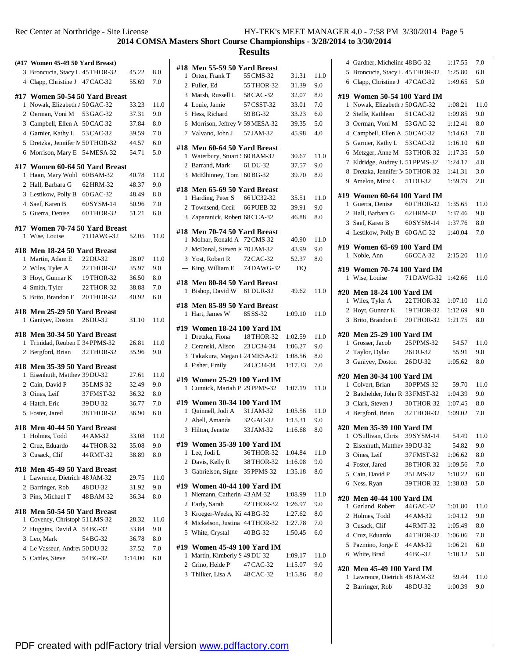## **Results**

|              | (#17 Women 45-49 50 Yard Breast)                             |            |         |              |
|--------------|--------------------------------------------------------------|------------|---------|--------------|
|              | 3 Broncucia, Stacy L 45 THOR-32                              |            | 45.22   | 8.0          |
|              | 4 Clapp, Christine J 47 CAC-32                               |            | 55.69   | 7.0          |
|              | #17 Women 50-54 50 Yard Breast                               |            |         |              |
| 1            | Nowak, Elizabeth / 50 GAC-32                                 |            | 33.23   | 11.0         |
|              | 2 Oerman, Voni M                                             | 53 GAC-32  | 37.31   | 9.0          |
|              | 3 Campbell, Ellen A                                          | 50 CAC-32  | 37.84   | 8.0          |
|              | 4 Garnier, Kathy L                                           | 53 CAC-32  | 39.59   | 7.0          |
|              | 5 Dretzka, Jennifer N 50 THOR-32                             |            | 44.57   | 6.0          |
|              | 6 Morrison, Mary E                                           | 54 MESA-32 | 54.71   | 5.0          |
|              |                                                              |            |         |              |
| 1            | #17 Women 60-64 50 Yard Breast<br>Haan, Mary Wohl            | 60 BAM-32  | 40.78   | 11.0         |
|              | 2 Hall, Barbara G                                            | 62 HRM-32  | 48.37   | 9.0          |
|              |                                                              |            |         |              |
|              | 3 Lestikow, Polly B                                          | 60 GAC-32  | 48.49   | 8.0          |
|              | 4 Saef, Karen B                                              | 60 SYSM-14 | 50.96   | 7.0          |
|              | 5 Guerra, Denise                                             | 60 THOR-32 | 51.21   | 6.0          |
| #17          | Women 70-74 50 Yard Breast                                   |            |         |              |
| 1            | Wise, Louise                                                 | 71 DAWG-32 | 52.05   | 11.0         |
|              | #18 Men 18-24 50 Yard Breast                                 |            |         |              |
| 1            | Martin, Adam E                                               | 22 DU-32   | 28.07   | 11.0         |
|              | 2 Wiles, Tyler A                                             | 22 THOR-32 | 35.97   | 9.0          |
|              | 3 Hoyt, Gunnar K                                             | 19 THOR-32 | 36.50   | 8.0          |
|              | 4 Smith, Tyler                                               | 22 THOR-32 | 38.88   | 7.0          |
| 5            | Brito, Brandon E                                             | 20 THOR-32 | 40.92   | 6.0          |
|              | #18 Men 25-29 50 Yard Breast                                 |            |         |              |
| 1            | Ganiyev, Doston                                              | 26 DU-32   | 31.10   | 11.0         |
|              | #18 Men 30-34 50 Yard Breast                                 |            |         |              |
| 1            | Trinidad, Reuben I 34 PPMS-32                                |            | 26.81   | 11.0         |
|              | 2 Bergford, Brian                                            | 32 THOR-32 | 35.96   | 9.0          |
|              | #18 Men 35-39 50 Yard Breast                                 |            |         |              |
| 1            | Eisenhuth, Matthev 39 DU-32                                  |            | 27.61   | 11.0         |
|              | 2 Cain, David P                                              | 35 LMS-32  | 32.49   | 9.0          |
|              | 3 Oines, Leif                                                | 37 FMST-32 | 36.32   | 8.0          |
|              | 4 Hatch, Eric                                                | 39 DU-32   | 36.77   | 7.0          |
|              | 5 Foster, Jared                                              | 38 THOR-32 | 36.90   | 6.0          |
|              | #18 Men 40-44 50 Yard Breast                                 |            |         |              |
| $\mathbf{1}$ | Holmes, Todd                                                 | 44 AM-32   | 33.08   | 11.0         |
|              | 2 Cruz, Eduardo                                              | 44 THOR-32 | 35.08   | 9.0          |
|              | 3 Cusack, Clif                                               | 44 RMT-32  | 38.89   | $_{\rm 8.0}$ |
|              | #18 Men 45-49 50 Yard Breast                                 |            |         |              |
|              | 1 Lawrence, Dietrich 48 JAM-32                               |            | 29.75   | 11.0         |
|              | 2 Barringer, Rob                                             | 48 DU-32   | 31.92   | 9.0          |
|              | 3 Pins, Michael T 48 BAM-32                                  |            | 36.34   | $8.0\,$      |
|              |                                                              |            |         |              |
| 1            | #18 Men 50-54 50 Yard Breast<br>Coveney, Christopl 51 LMS-32 |            | 28.32   | 11.0         |
|              | 2 Huggins, David A 54 BG-32                                  |            | 33.84   | 9.0          |
|              | 3 Leo, Mark                                                  | 54 BG-32   | 36.78   | 8.0          |
|              | 4 Le Vasseur, Andrey 50 DU-32                                |            | 37.52   | 7.0          |
|              | 5 Cattles, Steve                                             | 54 BG-32   | 1:14.00 | 6.0          |
|              |                                                              |            |         |              |
|              |                                                              |            |         |              |

| #18            | Men 55-59 50 Yard Breast                                    |            |         |              |
|----------------|-------------------------------------------------------------|------------|---------|--------------|
| 1              | Orten, Frank T                                              | 55 CMS-32  | 31.31   | 11.0         |
| 2              | Fuller, Ed                                                  | 55 THOR-32 | 31.39   | 9.0          |
|                | 3 Marsh, Russell L 58 CAC-32                                |            | 32.07   | 8.0          |
|                | 4 Louie, Jamie                                              | 57 CSST-32 | 33.01   | 7.0          |
|                | 5 Hess, Richard                                             | 59 BG-32   | 33.23   | 6.0          |
|                | 6 Morrison, Jeffrey W 59 MESA-32                            |            | 39.35   | 5.0          |
|                | 7 Valvano, John J                                           | 57 JAM-32  | 45.98   | 4.0          |
|                |                                                             |            |         |              |
|                | #18 Men 60-64 50 Yard Breast                                |            |         |              |
| 1              | Waterbury, Stuart : 60 BAM-32                               |            | 30.67   | 11.0         |
|                | 2 Barrand, Mark                                             | 61 DU-32   | 37.57   | 9.0          |
|                | 3 McElhinney, Tom 1 60 BG-32                                |            | 39.70   | 8.0          |
|                | #18 Men 65-69 50 Yard Breast                                |            |         |              |
|                | 1 Harding, Peter S 66 UC32-32                               |            | 35.51   | 11.0         |
|                | 2 Townsend, Cecil                                           | 66 PUEB-32 | 39.91   | 9.0          |
| 3              | Zaparanick, Robert 68 CCA-32                                |            | 46.88   | 8.0          |
|                |                                                             |            |         |              |
|                | #18 Men 70-74 50 Yard Breast                                |            |         |              |
| 1              | Molnar, Ronald A 72 CMS-32                                  |            | 40.90   | 11.0         |
|                | 2 McDanal, Steven K 70 JAM-32                               |            | 43.99   | 9.0          |
|                | 3 Yost, Robert R                                            | 72 CAC-32  | 52.37   | 8.0          |
|                | --- King, William E 74 DAWG-32                              |            | DQ      |              |
|                | #18 Men 80-84 50 Yard Breast                                |            |         |              |
| 1              | Bishop, David W 81 DUR-32                                   |            | 49.62   | 11.0         |
|                | Men 85-89 50 Yard Breast                                    |            |         |              |
| #18<br>1       | Hart, James W                                               | 85 SS-32   | 1:09.10 | 11.0         |
|                |                                                             |            |         |              |
|                |                                                             |            |         |              |
|                | #19 Women 18-24 100 Yard IM                                 |            |         |              |
|                | 1 Dretzka, Fiona                                            | 18 THOR-32 | 1:02.59 | 11.0         |
|                | 2 Ceranski, Alison                                          | 23 UC34-34 | 1:06.27 | 9.0          |
|                | 3 Takakura, Megan I 24 MESA-32                              |            | 1:08.56 | 8.0          |
|                | 4 Fisher, Emily                                             | 24 UC34-34 | 1:17.33 | 7.0          |
|                |                                                             |            |         |              |
| 1              | #19 Women 25-29 100 Yard IM<br>Cunnick, Mariah P 29 PPMS-32 |            | 1:07.19 | 11.0         |
|                |                                                             |            |         |              |
|                | #19 Women 30-34 100 Yard IM                                 |            |         |              |
| 1              | Quinnell, Jodi A                                            | 31 JAM-32  | 1:05.56 | 11.0         |
|                | 2 Abell, Amanda                                             | 32 GAC-32  | 1:15.31 | 9.0          |
|                | 3 Hilton, Jenette                                           | 33 JAM-32  | 1:16.68 | 8.0          |
|                | #19 Women 35-39 100 Yard IM                                 |            |         |              |
| 1              | Lee, Jodi L                                                 | 36 THOR-32 | 1:04.84 | 11.0         |
| 2              | Davis, Kelly R                                              | 38 THOR-32 | 1:16.08 | 9.0          |
| 3              | Gabrielson, Signe 35 PPMS-32                                |            | 1:35.18 | $_{\rm 8.0}$ |
|                |                                                             |            |         |              |
| 1              | #19 Women 40-44 100 Yard IM                                 |            |         |              |
|                | Niemann, Catherin 43 AM-32                                  |            | 1:08.99 | 11.0         |
| 2              | Early, Sarah                                                | 42 THOR-32 | 1:26.97 | 9.0          |
| 3              | Kroeger-Weeks, Ki 44 BG-32                                  |            | 1:27.62 | 8.0          |
| $\overline{4}$ | Mickelson, Justina 44 THOR-32                               |            | 1:27.78 | 7.0          |
|                | 5 White, Crystal                                            | 40 BG-32   | 1:50.45 | 6.0          |
|                | #19 Women 45-49 100 Yard IM                                 |            |         |              |
| 1              | Martin, Kimberly S 49 DU-32                                 |            | 1:09.17 | 11.0         |
| 2              | Crino, Heide P<br>3 Thilker, Lisa A                         | 47 CAC-32  | 1:15.07 | 9.0          |

|                | 4 Gardner, Micheline 48 BG-32                        |            | 1:17.55            | 7.0  |
|----------------|------------------------------------------------------|------------|--------------------|------|
|                | 5 Broncucia, Stacy L 45 THOR-32                      |            | 1:25.80            | 6.0  |
|                | 6 Clapp, Christine J 47 CAC-32                       |            | 1:49.65            | 5.0  |
|                | #19  Women 50-54 100 Yard IM                         |            |                    |      |
| 1              | Nowak, Elizabeth / 50 GAC-32                         |            | 1:08.21            | 11.0 |
|                | 2 Steffe, Kathleen                                   | 51 CAC-32  | 1:09.85            | 9.0  |
|                | 3 Oerman, Voni M 53 GAC-32                           |            | 1:12.41            | 8.0  |
|                | 4 Campbell, Ellen A 50 CAC-32                        |            | 1:14.63            | 7.0  |
| 5              | Garnier, Kathy L 53 CAC-32                           |            | 1:16.10            | 6.0  |
| 6              | Metzger, Anne M                                      | 53 THOR-32 | 1:17.35            | 5.0  |
| 7              | Eldridge, Audrey L 51 PPMS-32                        |            | 1:24.17            | 4.0  |
| 8              | Dretzka, Jennifer N 50 THOR-32                       |            | 1:41.31            | 3.0  |
| 9              | Amelon, Mitzi C                                      | 51 DU-32   | 1:59.79            | 2.0  |
|                | #19 Women 60-64 100 Yard IM                          |            |                    |      |
| 1              | Guerra, Denise                                       | 60 THOR-32 | 1:35.65            | 11.0 |
|                | 2   Hall, Barbara G                                  | 62 HRM-32  | 1:37.46            | 9.0  |
|                | 3 Saef, Karen B                                      | 60 SYSM-14 | 1:37.76            | 8.0  |
|                | 4 Lestikow, Polly B 60 GAC-32                        |            | 1:40.04            | 7.0  |
|                |                                                      |            |                    |      |
|                | #19 Women 65-69 100 Yard IM                          |            | 2:15.20            | 11.0 |
| 1              | Noble, Ann                                           | 66 CCA-32  |                    |      |
|                | #19 Women 70-74 100 Yard IM                          |            |                    |      |
| 1              | Wise, Louise                                         | 71 DAWG-32 | 1:42.66            | 11.0 |
| #20            | <b>Men 18-24 100 Yard IM</b>                         |            |                    |      |
| 1              | Wiles, Tyler A                                       | 22 THOR-32 | 1:07.10            | 11.0 |
|                | 2 Hoyt, Gunnar K                                     | 19THOR-32  | 1:12.69            | 9.0  |
|                | 3 Brito, Brandon E                                   | 20 THOR-32 | 1:21.75            | 8.0  |
|                |                                                      |            |                    |      |
| #20            |                                                      |            |                    |      |
| 1              | Men 25-29 100 Yard IM<br>Grosser, Jacob              | 25 PPMS-32 | 54.57              | 11.0 |
|                | 2 Taylor, Dylan                                      | 26 DU-32   | 55.91              | 9.0  |
|                | 3 Ganiyev, Doston                                    | 26 DU-32   | 1:05.62            | 8.0  |
|                |                                                      |            |                    |      |
|                | #20  Men 30-34 100 Yard IM                           |            |                    | 11.0 |
| 1              | Colvert, Brian                                       | 30 PPMS-32 | 59.70              |      |
|                | 2 Batchelder, John R 33 FMST-32<br>3 Clark, Steven J | 30 THOR-32 | 1:04.39            | 9.0  |
| 4              |                                                      |            | 1:07.45<br>1:09.02 | 8.0  |
|                | Bergford, Brian                                      | 32 THOR-32 |                    | 7.0  |
|                | #20 Men 35-39 100 Yard IM                            |            |                    |      |
| 1              | O'Sullivan, Chris                                    | 39 SYSM-14 | 54.49              | 11.0 |
| $\overline{2}$ | Eisenhuth, Matthev 39 DU-32                          |            | 54.82              | 9.0  |
|                | 3 Oines, Leif                                        | 37 FMST-32 | 1:06.62            | 8.0  |
|                | 4 Foster, Jared                                      | 38 THOR-32 | 1:09.56            | 7.0  |
|                | 5 Cain, David P                                      | 35 LMS-32  | 1:10.22            | 6.0  |
|                | 6 Ness, Ryan                                         | 39 THOR-32 | 1:38.03            | 5.0  |
| #20            | <b>Men 40-44 100 Yard IM</b>                         |            |                    |      |
| 1              | Garland, Robert                                      | 44 GAC-32  | 1:01.80            | 11.0 |
|                | 2 Holmes, Todd                                       | 44 AM-32   | 1:04.12            | 9.0  |
|                | 3 Cusack, Clif                                       | 44 RMT-32  | 1:05.49            | 8.0  |
|                | 4 Cruz, Eduardo                                      | 44 THOR-32 | 1:06.06            | 7.0  |
|                | 5 Pazmino, Jorge E                                   | 44 AM-32   | 1:06.21            | 6.0  |
| 6              | White, Brad                                          | 44 BG-32   | 1:10.12            | 5.0  |
|                | <b>Men 45-49 100 Yard IM</b>                         |            |                    |      |
| #20<br>1       | Lawrence, Dietrich 48 JAM-32                         |            | 59.44              | 11.0 |
| 2              | Barringer, Rob                                       | 48 DU-32   | 1:00.39            | 9.0  |

PDF created with pdfFactory trial version [www.pdffactory.com](http://www.pdffactory.com)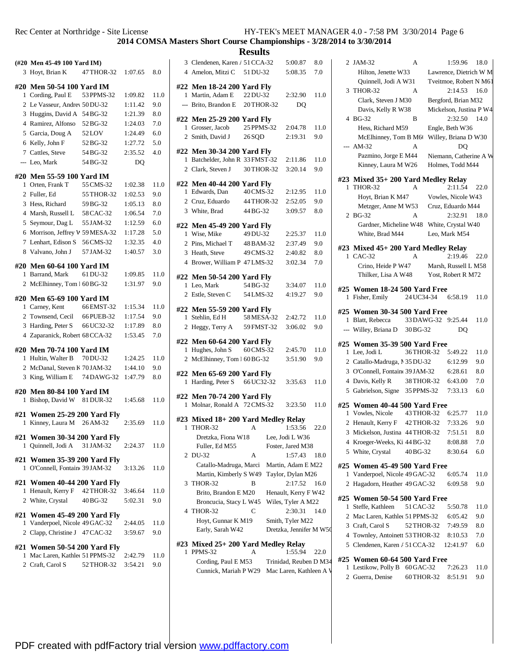**2014 COMSA Masters Short Course Championships - 3/28/2014 to 3/30/2014**

|              | (#20 Men 45-49 100 Yard IM)                                  |            |         |      |
|--------------|--------------------------------------------------------------|------------|---------|------|
|              | 3 Hoyt, Brian K                                              | 47 THOR-32 | 1:07.65 | 8.0  |
|              |                                                              |            |         |      |
| $\mathbf{1}$ | #20 Men 50-54 100 Yard IM<br>Cording, Paul E                 | 53 PPMS-32 | 1:09.82 | 11.0 |
|              | 2 Le Vasseur, Andrey 50 DU-32                                |            | 1:11.42 | 9.0  |
|              | 3 Huggins, David A 54 BG-32                                  |            | 1:21.39 | 8.0  |
|              | 4 Ramirez, Alfonso                                           | 52 BG-32   | 1:24.03 | 7.0  |
|              | 5 Garcia, Doug A                                             | 52LOV      | 1:24.49 | 6.0  |
|              | 6 Kelly, John F                                              | 52 BG-32   | 1:27.72 | 5.0  |
|              | 7 Cattles, Steve                                             | 54 BG-32   | 2:35.52 | 4.0  |
|              | --- Leo, Mark                                                | 54 BG-32   | DQ      |      |
|              |                                                              |            |         |      |
|              | #20  Men 55-59 100 Yard IM                                   |            |         |      |
| 1            | Orten, Frank T                                               | 55 CMS-32  | 1:02.38 | 11.0 |
|              | 2 Fuller, Ed                                                 | 55 THOR-32 | 1:02.53 | 9.0  |
|              | 3 Hess, Richard                                              | 59 BG-32   | 1:05.13 | 8.0  |
|              | 4 Marsh, Russell L                                           | 58 CAC-32  | 1:06.54 | 7.0  |
|              | 5 Seymour, Dag L                                             | 55 JAM-32  | 1:12.59 | 6.0  |
|              | 6 Morrison, Jeffrey V 59 MESA-32                             |            | 1:17.28 | 5.0  |
|              | 7 Lenhart, Edison S                                          | 56 CMS-32  | 1:32.35 | 4.0  |
|              | 8 Valvano, John J                                            | 57 JAM-32  | 1:40.57 | 3.0  |
|              | #20  Men 60-64 100 Yard IM                                   |            |         |      |
| 1            | Barrand, Mark                                                | 61 DU-32   | 1:09.85 | 11.0 |
|              | 2 McElhinney, Tom 1 60 BG-32                                 |            | 1:31.97 | 9.0  |
|              |                                                              |            |         |      |
| 1            | #20  Men 65-69 100 Yard IM<br>Carney, Kent                   | 66 EMST-32 | 1:15.34 | 11.0 |
|              | 2 Townsend, Cecil                                            | 66 PUEB-32 | 1:17.54 | 9.0  |
|              | 3 Harding, Peter S                                           | 66 UC32-32 | 1:17.89 | 8.0  |
|              | 4 Zaparanick, Robert 68 CCA-32                               |            | 1:53.45 | 7.0  |
|              |                                                              |            |         |      |
|              | #20  Men 70-74 100 Yard IM                                   |            |         |      |
| 1            | Hultin, Walter B                                             | 70 DU-32   | 1:24.25 | 11.0 |
|              | 2 McDanal, Steven K 70JAM-32                                 |            | 1:44.10 | 9.0  |
|              | 3 King, William E                                            | 74 DAWG-32 | 1:47.79 | 8.0  |
|              | #20  Men 80-84 100 Yard IM                                   |            |         |      |
| 1            | Bishop, David W                                              | 81 DUR-32  | 1:45.68 | 11.0 |
| #21          | <b>Women 25-29 200 Yard Fly</b>                              |            |         |      |
| 1            | Kinney, Laura M                                              | 26 AM-32   | 2:35.69 | 11.0 |
|              |                                                              |            |         |      |
| $\mathbf{1}$ | #21 Women 30-34 200 Yard Fly<br>Quinnell, Jodi A 31 JAM-32   |            | 2:24.37 | 11.0 |
|              |                                                              |            |         |      |
|              | #21 Women 35-39 200 Yard Fly                                 |            |         |      |
|              | 1 O'Connell, Fontain(39 JAM-32)                              |            | 3:13.26 | 11.0 |
|              | #21 Women 40-44 200 Yard Fly                                 |            |         |      |
| 1            | Henault, Kerry F 42 THOR-32                                  |            | 3:46.64 | 11.0 |
|              | 2 White, Crystal                                             | 40 BG-32   | 5:02.31 | 9.0  |
|              |                                                              |            |         |      |
|              | #21 Women 45-49 200 Yard Fly<br>Vanderpoel, Nicole 49 GAC-32 |            |         | 11.0 |
| 1            |                                                              |            | 2:44.05 |      |
|              | 2 Clapp, Christine J 47 CAC-32                               |            | 3:59.67 | 9.0  |
|              | #21 Women 50-54 200 Yard Fly                                 |            |         |      |
| 1            | Mac Laren, Kathlee 51 PPMS-32                                |            | 2:42.79 | 11.0 |
|              | 2 Craft, Carol S                                             | 52 THOR-32 | 3:54.21 | 9.0  |
|              |                                                              |            |         |      |

| <b>Results</b> |                                                             |            |  |                         |      |   |
|----------------|-------------------------------------------------------------|------------|--|-------------------------|------|---|
|                | 3 Clendenen, Karen / 51 CCA-32                              |            |  | 5:00.87                 | 8.0  |   |
|                | 4 Amelon, Mitzi C 51 DU-32                                  |            |  | 5:08.35                 | 7.0  |   |
|                |                                                             |            |  |                         |      |   |
|                | #22 Men 18-24 200 Yard Fly                                  |            |  |                         |      |   |
|                | 1 Martin, Adam E 22 DU-32                                   |            |  | 2:32.90                 | 11.0 |   |
|                | --- Brito, Brandon E 20 THOR-32                             |            |  | DO                      |      |   |
|                | #22 Men 25-29 200 Yard Fly                                  |            |  |                         |      |   |
|                | 1 Grosser, Jacob                                            | 25 PPMS-32 |  | 2:04.78                 | 11.0 |   |
|                | 2 Smith, David J                                            | 26 SQD     |  | 2:19.31                 | 9.0  |   |
|                | #22 Men 30-34 200 Yard Fly                                  |            |  |                         |      |   |
|                | 1 Batchelder, John R 33 FMST-32                             |            |  | 2:11.86                 | 11.0 |   |
|                | 2 Clark, Steven J 30 THOR-32                                |            |  | 3:20.14                 | 9.0  |   |
|                |                                                             |            |  |                         |      | # |
|                | #22 Men 40-44 200 Yard Fly                                  |            |  |                         |      |   |
|                | 1 Edwards, Dan                                              | 40 CMS-32  |  | 2:12.95                 | 11.0 |   |
|                | 2 Cruz, Eduardo                                             | 44 THOR-32 |  | 2:52.05                 | 9.0  |   |
|                | 3 White, Brad                                               | 44 BG-32   |  | 3:09.57                 | 8.0  |   |
|                | #22 Men 45-49 200 Yard Fly                                  |            |  |                         |      |   |
|                | 1 Wise, Mike                                                | 49 DU-32   |  | 2:25.37                 | 11.0 |   |
|                | 2 Pins, Michael T                                           | 48 BAM-32  |  | 2:37.49                 | 9.0  |   |
|                | 3 Heath, Steve                                              | 49 CMS-32  |  | 2:40.82                 | 8.0  | # |
|                | 4 Brower, William P 47 LMS-32                               |            |  | 3:02.34                 | 7.0  |   |
|                |                                                             |            |  |                         |      |   |
|                | #22 Men 50-54 200 Yard Fly<br>1 Leo, Mark                   | 54 BG-32   |  | 3:34.07                 | 11.0 |   |
|                | 2 Estle, Steven C                                           | 54 LMS-32  |  | 4:19.27                 | 9.0  | # |
|                |                                                             |            |  |                         |      |   |
|                | #22 Men 55-59 200 Yard Fly                                  |            |  |                         |      | # |
|                | 1 Stehlin, Ed H                                             | 58 MESA-32 |  | 2:42.72                 | 11.0 |   |
|                | 2 Heggy, Terry A                                            | 59 FMST-32 |  | 3:06.02                 | 9.0  |   |
|                | #22 Men 60-64 200 Yard Fly                                  |            |  |                         |      |   |
|                | 1 Hughes, John S                                            | 60 CMS-32  |  | 2:45.70                 | 11.0 | # |
|                | 2 McElhinney, Tom 1 60 BG-32                                |            |  | 3:51.90                 | 9.0  |   |
|                |                                                             |            |  |                         |      |   |
|                | #22 Men 65-69 200 Yard Fly<br>1 Harding, Peter S 66 UC32-32 |            |  |                         | 11.0 |   |
|                |                                                             |            |  | 3:35.63                 |      |   |
|                | #22 Men 70-74 200 Yard Fly                                  |            |  |                         |      |   |
|                | 1 Molnar, Ronald A 72 CMS-32                                |            |  | 3:23.50                 | 11.0 | # |
|                | #23 Mixed 18+ 200 Yard Medley Relay                         |            |  |                         |      |   |
| 1              | THOR-32                                                     | А          |  | 1:53.56                 | 22.0 |   |
|                | Dretzka, Fiona W18                                          |            |  | Lee, Jodi L W36         |      |   |
|                | Fuller, Ed M55                                              |            |  | Foster, Jared M38       |      |   |
|                | 2 DU-32                                                     | А          |  | 1:57.43                 | 18.0 |   |
|                | Catallo-Madruga, Marci                                      |            |  | Martin, Adam E M22      |      | # |
|                | Martin, Kimberly S W49                                      |            |  | Taylor, Dylan M26       |      |   |
| 3              | THOR-32                                                     | В          |  | 2:17.52                 | 16.0 |   |
|                | Brito, Brandon E M20                                        |            |  | Henault, Kerry F W42    |      |   |
|                | Broncucia, Stacy L W45                                      |            |  | Wiles, Tyler A M22      |      | # |
|                | 4 THOR-32                                                   | C          |  | 2:30.31                 | 14.0 |   |
|                | Hoyt, Gunnar K M19                                          |            |  | Smith, Tyler M22        |      |   |
|                | Early, Sarah W42                                            |            |  | Dretzka, Jennifer M W50 |      |   |
| #23            | Mixed 25+ 200 Yard Medley Relay                             |            |  |                         |      |   |
| 1              | PPMS-32                                                     | А          |  | 1:55.94                 | 22.0 |   |
|                | Cording, Paul E M53                                         |            |  | Trinidad, Reuben D M34  |      | # |
|                | Cunnick, Mariah P W29                                       |            |  | Mac Laren, Kathleen A V |      |   |
|                |                                                             |            |  |                         |      |   |

|   | 2 JAM-32                                          | А         |            | 1:59.96 18.0            |      |
|---|---------------------------------------------------|-----------|------------|-------------------------|------|
|   | Hilton, Jenette W33                               |           |            | Lawrence, Dietrich W M  |      |
|   | Quinnell, Jodi A W31                              |           |            | Tveitmoe, Robert N M61  |      |
|   | 3 THOR-32                                         | А         |            | $2:14.53$ 16.0          |      |
|   | Clark, Steven J M30                               |           |            | Bergford, Brian M32     |      |
|   | Davis, Kelly R W38                                |           |            | Mickelson, Justina P W4 |      |
|   | 4 BG-32                                           | B         |            | 2:32.50                 | 14.0 |
|   | Hess, Richard M59                                 |           |            | Engle, Beth W36         |      |
|   | McElhinney, Tom B M6                              |           |            | Willey, Briana D W30    |      |
|   | $- A M - 32$                                      | A         |            | D <sub>O</sub>          |      |
|   | Pazmino, Jorge E M44                              |           |            | Niemann, Catherine A W  |      |
|   | Kinney, Laura M W26                               |           |            | Holmes, Todd M44        |      |
|   |                                                   |           |            |                         |      |
|   | #23 Mixed 35+ 200 Yard Medley Relay<br>1 THOR-32  | А         |            | 2:11.54                 | 22.0 |
|   | Hoyt, Brian K M47                                 |           |            | Vowles, Nicole W43      |      |
|   | Metzger, Anne M W53                               |           |            | Cruz, Eduardo M44       |      |
|   | 2 BG-32                                           | A         |            | 2:32.91                 | 18.0 |
|   | Gardner, Micheline W48 White, Crystal W40         |           |            |                         |      |
|   | White, Brad M44                                   |           |            | Leo, Mark M54           |      |
|   |                                                   |           |            |                         |      |
|   | #23 Mixed 45+ 200 Yard Medley Relay               |           |            |                         |      |
|   | 1 CAC-32                                          | A         |            | 2:19.46                 | 22.0 |
|   | Crino, Heide P W47                                |           |            | Marsh, Russell L M58    |      |
|   | Thilker, Lisa A W48                               |           |            | Yost, Robert R M72      |      |
|   | #25 Women 18-24 500 Yard Free                     |           |            |                         |      |
|   | 1 Fisher, Emily                                   |           |            | 24 UC34-34 6:58.19      | 11.0 |
|   |                                                   |           |            |                         |      |
|   | #25 Women 30-34 500 Yard Free                     |           |            |                         |      |
|   | 1 Blatt, Rebecca                                  |           |            | 33 DAWG-32 9:25.44      | 11.0 |
|   | --- Willey, Briana D 30BG-32                      |           |            | DO                      |      |
|   | #25 Women 35-39 500 Yard Free                     |           |            |                         |      |
|   | 1 Lee, Jodi L                                     |           | 36THOR-32  | 5:49.22                 | 11.0 |
|   | 2 Catallo-Madruga, 1 35 DU-32                     |           |            | 6:12.99                 | 9.0  |
|   | 3 O'Connell, Fontain(39JAM-32)                    |           |            | 6:28.61                 | 8.0  |
|   | 4 Davis, Kelly R                                  |           | 38 THOR-32 | 6:43.00                 | 7.0  |
|   | 5 Gabrielson, Signe 35 PPMS-32                    |           |            | 7:33.13                 | 6.0  |
|   |                                                   |           |            |                         |      |
|   | #25 Women 40-44 500 Yard Free<br>1 Vowles, Nicole |           |            | 43 THOR-32 6:25.77      | 11.0 |
|   | 2 Henault, Kerry F 42 THOR-32                     |           |            | 7:33.26                 | 9.0  |
|   | Mickelson, Justina 44 THOR-32                     |           |            | 7:51.51                 |      |
| 3 |                                                   |           |            |                         | 8.0  |
| 4 | Kroeger-Weeks, Ki 44 BG-32                        |           |            | 8:08.88                 | 7.0  |
|   | 5 White, Crystal                                  | 40BG-32   |            | 8:30.64                 | 6.0  |
|   | #25 Women 45-49 500 Yard Free                     |           |            |                         |      |
| 1 | Vanderpoel, Nicole 49 GAC-32                      |           |            | 6:05.74                 | 11.0 |
| 2 | Hagadorn, Heather 49 GAC-32                       |           |            | 6:09.58                 | 9.0  |
|   |                                                   |           |            |                         |      |
| 1 | #25 Women 50-54 500 Yard Free<br>Steffe, Kathleen | 51 CAC-32 |            | 5:50.78                 | 11.0 |
|   | 2 Mac Laren, Kathlet 51 PPMS-32                   |           |            | 6:05.42                 | 9.0  |
|   | 3 Craft, Carol S                                  |           | 52 THOR-32 | 7:49.59                 | 8.0  |
|   |                                                   |           |            |                         |      |
|   | 4 Townley, Antoinett 53 THOR-32                   |           |            | 8:10.53                 | 7.0  |
|   | 5 Clendenen, Karen / 51 CCA-32                    |           |            | 12:41.97                | 6.0  |
|   | #25 Women 60-64 500 Yard Free                     |           |            |                         |      |
| 1 | Lestikow, Polly B 60 GAC-32                       |           |            | 7:26.23                 | 11.0 |
|   | 2 Guerra, Denise                                  |           | 60 THOR-32 | 8:51.91                 | 9.0  |

PDF created with pdfFactory trial version [www.pdffactory.com](http://www.pdffactory.com)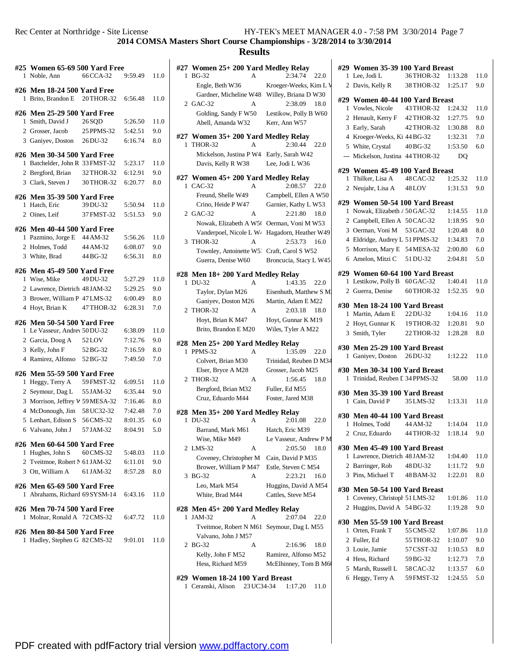| #25            | Women 65-69 500 Yard Free                                   |            |         |              |
|----------------|-------------------------------------------------------------|------------|---------|--------------|
| 1              | Noble, Ann                                                  | 66 CCA-32  | 9:59.49 | 11.0         |
| 1              | #26 Men 18-24 500 Yard Free<br>Brito, Brandon E             | 20 THOR-32 | 6:56.48 | 11.0         |
|                | #26 Men 25-29 500 Yard Free                                 |            |         |              |
| 1              | Smith, David J                                              | 26 SQD     | 5:26.50 | 11.0         |
|                | 2 Grosser, Jacob                                            | 25 PPMS-32 | 5:42.51 | 9.0          |
|                | 3 Ganiyev, Doston                                           | 26 DU-32   | 6:16.74 | 8.0          |
|                | #26 Men 30-34 500 Yard Free                                 |            |         |              |
| 1              | Batchelder, John R 33 FMST-32                               |            | 5:23.17 | 11.0         |
|                | 2 Bergford, Brian                                           | 32 THOR-32 | 6:12.91 | 9.0          |
|                | 3 Clark, Steven J                                           | 30 THOR-32 | 6:20.77 | $_{\rm 8.0}$ |
|                | #26 Men 35-39 500 Yard Free                                 |            |         |              |
| 1              | Hatch, Eric                                                 | 39 DU-32   | 5:50.94 | 11.0         |
| $\overline{2}$ | Oines, Leif                                                 | 37 FMST-32 | 5:51.53 | 9.0          |
|                | #26 Men 40-44 500 Yard Free                                 |            |         |              |
|                | 1 Pazmino, Jorge E                                          | 44 AM-32   | 5:56.26 | 11.0         |
|                | 2 Holmes, Todd                                              | 44 AM-32   | 6:08.07 | 9.0          |
|                | 3 White, Brad                                               | 44 BG-32   | 6:56.31 | 8.0          |
| #26            | <b>Men 45-49 500 Yard Free</b>                              |            |         |              |
| $\mathbf{1}$   | Wise, Mike                                                  | 49 DU-32   | 5:27.29 | 11.0         |
|                | 2 Lawrence, Dietrich 48JAM-32                               |            | 5:29.25 | 9.0          |
|                | 3 Brower, William P 47 LMS-32                               |            | 6:00.49 | 8.0          |
|                | 4 Hoyt, Brian K                                             | 47 THOR-32 | 6:28.31 | 7.0          |
|                | #26 Men 50-54 500 Yard Free                                 |            |         |              |
| 1              | Le Vasseur, Andrey 50 DU-32                                 |            | 6:38.09 | 11.0         |
|                | 2 Garcia, Doug A                                            | 52LOV      | 7:12.76 | 9.0          |
|                | 3 Kelly, John F                                             | 52 BG-32   | 7:16.59 | 8.0          |
|                | 4 Ramirez, Alfonso                                          | 52 BG-32   | 7:49.50 | 7.0          |
| #26            | <b>Men 55-59 500 Yard Free</b>                              |            |         |              |
| $\mathbf{1}$   | Heggy, Terry A                                              | 59 FMST-32 | 6:09.51 | 11.0         |
|                | 2 Seymour, Dag L                                            | 55 JAM-32  | 6:35.44 | 9.0          |
|                | 3 Morrison, Jeffrey V 59 MESA-32                            |            | 7:16.46 | 8.0          |
|                | 4 McDonough, Jim                                            | 58 UC32-32 | 7:42.48 | 7.0          |
|                | 5 Lenhart, Edison S                                         | 56 CMS-32  | 8:01.35 | 6.0          |
|                | 6 Valvano, John J                                           | 57 JAM-32  | 8:04.91 | 5.0          |
|                | #26 Men 60-64 500 Yard Free                                 |            |         |              |
|                | 1 Hughes, John S                                            | 60 CMS-32  | 5:48.03 | 11.0         |
|                | 2 Tveitmoe, Robert N 61 JAM-32                              |            | 6:11.01 | 9.0          |
|                | 3 Ott, William A                                            | 61 JAM-32  | 8:57.28 | 8.0          |
| 1              | #26 Men 65-69 500 Yard Free<br>Abrahams, Richard 69 SYSM-14 |            | 6:43.16 | 11.0         |
| 1              | #26 Men 70-74 500 Yard Free<br>Molnar, Ronald A 72 CMS-32   |            | 6:47.72 | 11.0         |
| 1              | #26 Men 80-84 500 Yard Free<br>Hadley, Stephen G 82 CMS-32  |            | 9:01.01 | 11.0         |
|                |                                                             |            |         |              |

| 1        | #27 Women 25+ 200 Yard Medley Relay<br><b>BG-32</b><br>А                                               | 2:34.74<br>22.0                                           | Ħ |
|----------|--------------------------------------------------------------------------------------------------------|-----------------------------------------------------------|---|
|          | Engle, Beth W36<br>Gardner, Micheline W48<br>2 GAC-32<br>A                                             | Kroeger-Weeks, Kim L V<br>Willey, Briana D W30<br>2:38.09 | Ħ |
|          | Golding, Sandy F W50                                                                                   | 18.0<br>Lestikow, Polly B W60                             |   |
|          | Abell, Amanda W32<br>#27 Women 35+ 200 Yard Medley Relay                                               | Kerr, Ann W57                                             |   |
| 1        | THOR-32<br>А<br>Mickelson, Justina P W4 Early, Sarah W42                                               | 2:30.44<br>22.0                                           |   |
|          | Davis, Kelly R W38                                                                                     | Lee, Jodi L W36                                           | Ħ |
|          | #27 Women 45+ 200 Yard Medley Relay<br>1 CAC-32<br>А                                                   | 2:08.57<br>22.0                                           |   |
|          | Freund, Shelle W49<br>Crino, Heide P W47                                                               | Campbell, Ellen A W50<br>Garnier, Kathy L W53             | Ħ |
|          | 2 GAC-32<br>A                                                                                          | 2:21.80<br>- 18.0                                         |   |
|          | Nowak, Elizabeth A W50 Oerman, Voni M W53<br>Vanderpoel, Nicole L W <sup>z</sup> Hagadorn, Heather W49 |                                                           |   |
| 3        | THOR-32                                                                                                | 2:53.73<br>16.0                                           |   |
|          | Townley, Antoinette W5. Craft, Carol S W52                                                             |                                                           |   |
|          | Guerra, Denise W60                                                                                     | Broncucia, Stacy L W45                                    |   |
| 1        | #28 Men 18+200 Yard Medley Relay<br>DU-32<br>A                                                         | 1:43.35<br>22.0                                           | Ħ |
|          | Taylor, Dylan M26                                                                                      | Eisenhuth, Matthew S M                                    |   |
|          | Ganiyev, Doston M26                                                                                    | Martin, Adam E M22                                        | Ħ |
|          | 2 THOR-32<br>A                                                                                         | 2:03.18<br>18.0                                           |   |
|          | Hoyt, Brian K M47<br>Brito, Brandon E M20                                                              | Hoyt, Gunnar K M19<br>Wiles, Tyler A M22                  |   |
| 1        | #28 Men 25+ 200 Yard Medley Relay<br>PPMS-32<br>A                                                      | 1:35.09<br>22.0                                           | Ħ |
|          | Colvert, Brian M30                                                                                     | Trinidad, Reuben D M34                                    |   |
|          | Elser, Bryce A M28<br>2 THOR-32                                                                        | Grosser, Jacob M25                                        | Ħ |
|          | А<br>Bergford, Brian M32                                                                               | 1:56.45<br>18.0<br>Fuller, Ed M55                         |   |
|          | Cruz, Eduardo M44                                                                                      | Foster, Jared M38                                         | Ħ |
| #28<br>1 | Men 35+200 Yard Medley Relay<br>DU-32<br>А                                                             | 2:01.08<br>22.0                                           | Ħ |
|          | Barrand, Mark M61                                                                                      | Hatch, Eric M39                                           |   |
|          | Wise, Mike M49                                                                                         | Le Vasseur, Andrew P M                                    |   |
|          | 2 LMS-32<br>А                                                                                          | 2:05.50<br>18.0                                           | Ħ |
|          | Coveney, Christopher M Cain, David P M35                                                               |                                                           |   |
|          | Brower, William P M47                                                                                  | Estle, Steven C M54                                       |   |
| 3        | <b>BG-32</b><br>A<br>Leo, Mark M54                                                                     | 2:23.21<br>16.0                                           |   |
|          | White, Brad M44                                                                                        | Huggins, David A M54<br>Cattles, Steve M54                | Ħ |
|          | #28 Men 45+ 200 Yard Medley Relay                                                                      |                                                           |   |
| 1        | JAM-32<br>А<br>Tveitmoe, Robert N M61 Seymour, Dag L M55                                               | 2:07.04<br>22.0                                           | Ħ |
| 2        | Valvano, John J M57<br><b>BG-32</b><br>А                                                               | 2:16.96<br>18.0                                           |   |
|          | Kelly, John F M52                                                                                      | Ramirez, Alfonso M52                                      |   |
|          | Hess, Richard M59                                                                                      | McElhinney, Tom B M6                                      |   |
|          | #29 Women 18-24 100 Yard Breast<br>1 Ceranski, Alison 23 UC34-34                                       | 1:17.20<br>11.0                                           |   |
|          |                                                                                                        |                                                           |   |

|                | #29 Women 35-39 100 Yard Breast                  |            |         |         |
|----------------|--------------------------------------------------|------------|---------|---------|
| 1              | Lee, Jodi L                                      | 36THOR-32  | 1:13.28 | 11.0    |
| 2              | Davis, Kelly R                                   | 38 THOR-32 | 1:25.17 | 9.0     |
|                | #29 Women 40-44 100 Yard Breast                  |            |         |         |
| 1              | Vowles, Nicole                                   | 43 THOR-32 | 1:24.32 | 11.0    |
|                | 2 Henault, Kerry F 42 THOR-32                    |            | 1:27.75 | 9.0     |
|                | 3 Early, Sarah                                   | 42 THOR-32 | 1:30.88 | $8.0\,$ |
|                | 4 Kroeger-Weeks, Ki 44 BG-32                     |            | 1:32.31 | 7.0     |
|                | 5 White, Crystal                                 | 40 BG-32   | 1:53.50 | 6.0     |
|                | --- Mickelson, Justina 44 THOR-32                |            | DO      |         |
|                | #29 Women 45-49 100 Yard Breast                  |            |         |         |
| 1              | Thilker, Lisa A                                  | 48 CAC-32  | 1:25.32 | 11.0    |
|                | 2 Neujahr, Lisa A 48 LOV                         |            | 1:31.53 | 9.0     |
|                | #29 Women 50-54 100 Yard Breast                  |            |         |         |
|                | 1 Nowak, Elizabeth / 50 GAC-32                   |            | 1:14.55 | 11.0    |
|                | 2 Campbell, Ellen A 50 CAC-32                    |            | 1:18.95 | 9.0     |
|                | 3 Oerman, Voni M 53 GAC-32                       |            | 1:20.48 | $8.0\,$ |
|                | 4 Eldridge, Audrey L 51 PPMS-32                  |            | 1:34.83 | 7.0     |
|                | 5 Morrison, Mary E 54 MESA-32 2:00.80            |            |         | 6.0     |
|                | 6 Amelon, Mitzi C 51 DU-32                       |            | 2:04.81 | 5.0     |
|                |                                                  |            |         |         |
|                | #29 Women 60-64 100 Yard Breast                  |            |         |         |
|                | 1 Lestikow, Polly B 60 GAC-32                    |            | 1:40.41 | 11.0    |
|                | 2 Guerra, Denise                                 | 60 THOR-32 | 1:52.35 | 9.0     |
|                | #30 Men 18-24 100 Yard Breast                    |            |         |         |
| 1              | Martin, Adam E 22 DU-32                          |            | 1:04.16 | 11.0    |
|                | 2 Hoyt, Gunnar K 19THOR-32                       |            | 1:20.81 | 9.0     |
|                | 3 Smith, Tyler                                   | 22 THOR-32 | 1:28.28 | $8.0\,$ |
|                | #30 Men 25-29 100 Yard Breast                    |            |         |         |
| 1              | Ganiyev, Doston 26 DU-32                         |            | 1:12.22 | 11.0    |
|                | #30 Men 30-34 100 Yard Breast                    |            |         |         |
| 1              | Trinidad, Reuben L 34 PPMS-32                    |            | 58.00   | 11.0    |
|                |                                                  |            |         |         |
| 1              | #30 Men 35-39 100 Yard Breast<br>Cain, David P   | 35 LMS-32  | 1:13.31 | 11.0    |
|                |                                                  |            |         |         |
|                | #30 Men 40-44 100 Yard Breast                    |            |         |         |
|                | 1 Holmes, Todd                                   | 44 AM-32   | 1:14.04 | 11.0    |
|                | 2 Cruz, Eduardo                                  | 44 THOR-32 | 1:18.14 | 9.0     |
|                | #30 Men 45-49 100 Yard Breast                    |            |         |         |
|                | 1 Lawrence, Dietrich 48JAM-32                    |            | 1:04.40 | 11.0    |
|                | 2 Barringer, Rob                                 | 48 DU-32   | 1:11.72 | 9.0     |
|                | 3 Pins, Michael T                                | 48 BAM-32  | 1:22.01 | 8.0     |
|                | #30  Men 50-54 100 Yard Breast                   |            |         |         |
| 1              | Coveney, Christopl 51 LMS-32                     |            | 1:01.86 | 11.0    |
| $\overline{2}$ | Huggins, David A 54 BG-32                        |            | 1:19.28 | 9.0     |
|                |                                                  |            |         |         |
| 1              | #30  Men 55-59 100 Yard Breast<br>Orten, Frank T | 55 CMS-32  | 1:07.86 | 11.0    |
| 2              | Fuller, Ed                                       | 55 THOR-32 | 1:10.07 | 9.0     |
|                | 3 Louie, Jamie                                   | 57 CSST-32 | 1:10.53 | 8.0     |
|                | 4 Hess, Richard                                  | 59 BG-32   | 1:12.73 | $7.0\,$ |
|                | 5 Marsh, Russell L 58 CAC-32                     |            | 1:13.57 | 6.0     |
|                |                                                  |            |         |         |
|                | 6 Heggy, Terry A                                 | 59 FMST-32 | 1:24.55 | 5.0     |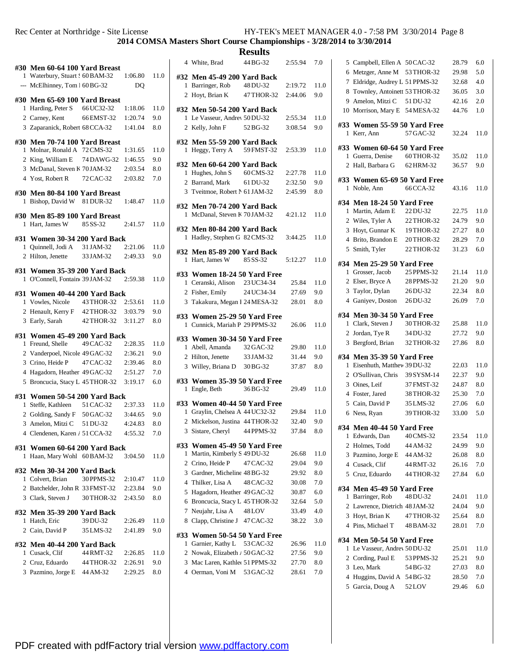**COMSA Masters Short Course Championships - 3/28/2014 to 3/30/2014**

| 1   | #30 Men 60-64 100 Yard Breast<br>Waterbury, Stuart ! 60 BAM-32<br>--- McElhinney, Tom 1 60 BG-32                                                                       |                          | 1:06.80<br>D <sub>O</sub>                | 11.0                      |
|-----|------------------------------------------------------------------------------------------------------------------------------------------------------------------------|--------------------------|------------------------------------------|---------------------------|
|     | #30 Men 65-69 100 Yard Breast<br>1 Harding, Peter S<br>2 Carney, Kent<br>3 Zaparanick, Robert 68 CCA-32                                                                | 66 UC32-32<br>66 EMST-32 | 1:18.06<br>1:20.74<br>1:41.04            | 11.0<br>9.0<br>8.0        |
| 1   | #30 Men 70-74 100 Yard Breast<br>Molnar, Ronald A 72 CMS-32<br>2 King, William E<br>3 McDanal, Steven K 70 JAM-32<br>4 Yost, Robert R<br>#30 Men 80-84 100 Yard Breast | 74 DAWG-32<br>72 CAC-32  | 1:31.65<br>1:46.55<br>2:03.54<br>2:03.82 | 11.0<br>9.0<br>8.0<br>7.0 |
| 1   | Bishop, David W                                                                                                                                                        | 81 DUR-32                | 1:48.47                                  | 11.0                      |
| 1   | #30 Men 85-89 100 Yard Breast<br>Hart, James W                                                                                                                         | 85 SS-32                 | 2:41.57                                  | 11.0                      |
| 1   | #31 Women 30-34 200 Yard Back<br>Quinnell, Jodi A 31 JAM-32<br>2 Hilton, Jenette<br>#31 Women 35-39 200 Yard Back                                                      | 33 JAM-32 2:49.33        | 2:21.06                                  | 11.0<br>9.0               |
| 1   | O'Connell, Fontain 39 JAM-32<br>#31 Women 40-44 200 Yard Back                                                                                                          |                          | 2:59.38                                  | 11.0                      |
| 1   | Vowles, Nicole<br>2 Henault, Kerry F 42 THOR-32<br>3 Early, Sarah                                                                                                      | 43 THOR-32<br>42 THOR-32 | 2:53.61<br>3:03.79<br>3:11.27            | 11.0<br>9.0<br>8.0        |
| 1   | #31 Women 45-49 200 Yard Back<br>Freund, Shelle                                                                                                                        | 49 CAC-32                | 2:28.35                                  | 11.0                      |
|     | 2 Vanderpoel, Nicole 49 GAC-32                                                                                                                                         |                          | 2:36.21                                  | 9.0                       |
|     | 3 Crino, Heide P                                                                                                                                                       | 47 CAC-32                | 2:39.46                                  | 8.0                       |
|     | 4 Hagadorn, Heather 49 GAC-32<br>5 Broncucia, Stacy L 45 THOR-32                                                                                                       |                          | 2:51.27<br>3:19.17                       | 7.0<br>6.0                |
| #31 | Women 50-54 200 Yard Back                                                                                                                                              |                          |                                          |                           |
| 1   | Steffe, Kathleen<br>2 Golding, Sandy F 50 GAC-32                                                                                                                       | 51 CAC-32                | 2:37.33<br>3:44.65                       | 11.0<br>9.0               |
|     | 3 Amelon, Mitzi C                                                                                                                                                      | 51 DU-32                 | 4:24.83                                  | 8.0                       |
|     | 4 Clendenen, Karen / 51 CCA-32                                                                                                                                         |                          | 4:55.32                                  | 7.0                       |
| 1   | #31 Women 60-64 200 Yard Back<br>Haan, Mary Wohl 60 BAM-32                                                                                                             |                          | 3:04.50                                  | 11.0                      |
|     | #32 Men 30-34 200 Yard Back<br>1 Colvert, Brian<br>2 Batchelder, John R 33 FMST-32<br>3 Clark, Steven J                                                                | 30 PPMS-32<br>30 THOR-32 | 2:10.47<br>2:23.84<br>2:43.50            | 11.0<br>9.0<br>8.0        |
|     | #32 Men 35-39 200 Yard Back<br>1 Hatch, Eric<br>2 Cain, David P                                                                                                        | 39 DU-32<br>35 LMS-32    | 2:26.49<br>2:41.89                       | 11.0<br>9.0               |
|     | #32 Men 40-44 200 Yard Back                                                                                                                                            |                          |                                          |                           |
|     | 1 Cusack, Clif                                                                                                                                                         | 44 RMT-32                | 2:26.85                                  | 11.0                      |
|     | 2 Cruz, Eduardo                                                                                                                                                        | 44 THOR-32               | 2:26.91                                  | 9.0                       |
|     | 3 Pazmino, Jorge E 44 AM-32                                                                                                                                            |                          | 2:29.25                                  | 8.0                       |

|   |                                                             | results    |         |      |
|---|-------------------------------------------------------------|------------|---------|------|
|   | 4 White, Brad                                               | 44 BG-32   | 2:55.94 | 7.0  |
|   | #32 Men 45-49 200 Yard Back                                 |            |         |      |
|   | 1 Barringer, Rob                                            | 48 DU-32   | 2:19.72 | 11.0 |
|   | 2 Hoyt, Brian K                                             | 47 THOR-32 | 2:44.06 | 9.0  |
|   |                                                             |            |         |      |
|   | #32 Men 50-54 200 Yard Back                                 |            |         |      |
|   | 1 Le Vasseur, Andrey 50 DU-32                               |            | 2:55.34 | 11.0 |
|   | 2 Kelly, John F                                             | 52 BG-32   | 3:08.54 | 9.0  |
|   | #32 Men 55-59 200 Yard Back                                 |            |         |      |
| 1 | Heggy, Terry A                                              | 59 FMST-32 | 2:53.39 | 11.0 |
|   |                                                             |            |         |      |
|   | #32 Men 60-64 200 Yard Back                                 |            |         |      |
|   | 1 Hughes, John S                                            | 60 CMS-32  | 2:27.78 | 11.0 |
|   | 2 Barrand, Mark                                             | 61 DU-32   | 2:32.50 | 9.0  |
|   | 3 Tveitmoe, Robert N 61 JAM-32                              |            | 2:45.99 | 8.0  |
|   | #32 Men 70-74 200 Yard Back                                 |            |         |      |
| 1 | McDanal, Steven K 70 JAM-32                                 |            | 4:21.12 | 11.0 |
|   |                                                             |            |         |      |
|   | #32 Men 80-84 200 Yard Back                                 |            |         |      |
| 1 | Hadley, Stephen G 82 CMS-32                                 |            | 3:44.25 | 11.0 |
|   | #32 Men 85-89 200 Yard Back                                 |            |         |      |
| 1 | Hart, James W                                               | 85 SS-32   | 5:12.27 | 11.0 |
|   |                                                             |            |         |      |
|   | #33 Women 18-24 50 Yard Free                                |            |         |      |
|   | 1 Ceranski, Alison 23 UC34-34                               |            | 25.84   | 11.0 |
|   | 2 Fisher, Emily                                             | 24 UC34-34 | 27.69   | 9.0  |
|   | 3 Takakura, Megan I 24 MESA-32                              |            | 28.01   | 8.0  |
|   | #33 Women 25-29 50 Yard Free                                |            |         |      |
| 1 | Cunnick, Mariah P 29 PPMS-32                                |            | 26.06   | 11.0 |
|   |                                                             |            |         |      |
|   | #33 Women 30-34 50 Yard Free                                |            |         |      |
|   | 1 Abell, Amanda                                             | 32 GAC-32  | 29.80   | 11.0 |
|   | 2 Hilton, Jenette                                           | 33 JAM-32  | 31.44   | 9.0  |
|   | 3 Willey, Briana D 30 BG-32                                 |            | 37.87   | 8.0  |
|   |                                                             |            |         |      |
|   | #33 Women 35-39 50 Yard Free<br>1 Engle, Beth               | 36 BG-32   | 29.49   | 11.0 |
|   |                                                             |            |         |      |
|   | #33 Women 40-44 50 Yard Free                                |            |         |      |
|   | 1 Graylin, Chelsea A 44 UC32-32                             |            | 29.84   | 11.0 |
| 2 | Mickelson, Justina 44 THOR-32                               |            | 32.40   | 9.0  |
| 3 | Sistare, Cheryl                                             | 44 PPMS-32 | 37.84   | 8.0  |
|   |                                                             |            |         |      |
| 1 | #33 Women 45-49 50 Yard Free<br>Martin, Kimberly S 49 DU-32 |            | 26.68   | 11.0 |
|   |                                                             |            |         | 9.0  |
|   | 2 Crino, Heide P                                            | 47 CAC-32  | 29.04   |      |
|   | 3 Gardner, Micheline 48 BG-32                               |            | 29.92   | 8.0  |
|   | 4 Thilker, Lisa A                                           | 48 CAC-32  | 30.08   | 7.0  |
| 5 | Hagadorn, Heather 49 GAC-32                                 |            | 30.87   | 6.0  |
| 6 | Broncucia, Stacy L 45 THOR-32                               |            | 32.64   | 5.0  |
|   | 7 Neujahr, Lisa A 48 LOV                                    |            | 33.49   | 4.0  |
| 8 | Clapp, Christine J 47 CAC-32                                |            | 38.22   | 3.0  |
|   | #33 Women 50-54 50 Yard Free                                |            |         |      |
| 1 | Garnier, Kathy L 53 CAC-32                                  |            | 26.96   | 11.0 |
|   | 2 Nowak, Elizabeth / 50 GAC-32                              |            | 27.56   | 9.0  |
|   | 3 Mac Laren, Kathlet 51 PPMS-32                             |            | 27.70   | 8.0  |
|   | 4 Oerman, Voni M 53 GAC-32                                  |            | 28.61   | 7.0  |
|   |                                                             |            |         |      |
|   |                                                             |            |         |      |

| 5  | Campbell, Ellen A 50 CAC-32               |            | 28.79 | 6.0  |
|----|-------------------------------------------|------------|-------|------|
| 6  | Metzger, Anne M                           | 53 THOR-32 | 29.98 | 5.0  |
|    | 7 Eldridge, Audrey L 51 PPMS-32           |            | 32.68 | 4.0  |
| 8  | Townley, Antoinett 53 THOR-32             |            | 36.05 | 3.0  |
| 9  | Amelon, Mitzi C                           | 51 DU-32   | 42.16 | 2.0  |
| 10 | Morrison, Mary E                          | 54 MESA-32 | 44.76 | 1.0  |
| 1  | #33 Women 55-59 50 Yard Free<br>Kerr, Ann | 57 GAC-32  | 32.24 | 11.0 |
|    | #33 Women 60-64 50 Yard Free              |            |       |      |
| 1  | Guerra, Denise                            | 60 THOR-32 | 35.02 | 11.0 |
|    | 2 Hall, Barbara G                         | 62 HRM-32  | 36.57 | 9.0  |
|    | #33 Women 65-69 50 Yard Free              |            |       |      |
| 1  | Noble, Ann                                | 66CCA-32   | 43.16 | 11.0 |
|    | #34 Men 18-24 50 Yard Free                |            |       |      |
| 1  | Martin, Adam E                            | 22DU-32    | 22.75 | 11.0 |
|    | 2 Wiles, Tyler A                          | 22 THOR-32 | 24.79 | 9.0  |
|    | 3 Hoyt, Gunnar K                          | 19THOR-32  | 27.27 | 8.0  |
|    | 4 Brito, Brandon E                        | 20 THOR-32 | 28.29 | 7.0  |
|    | 5 Smith, Tyler                            | 22 THOR-32 | 31.23 | 6.0  |
|    | #34 Men 25-29 50 Yard Free                |            |       |      |
| 1  | Grosser, Jacob                            | 25 PPMS-32 | 21.14 | 11.0 |
|    | 2 Elser, Bryce A                          | 28 PPMS-32 | 21.20 | 9.0  |
| 3  | Taylor, Dylan                             | 26 DU-32   | 22.34 | 8.0  |
|    | 4 Ganiyev, Doston                         | 26DU-32    | 26.09 | 7.0  |
|    | #34 Men 30-34 50 Yard Free                |            |       |      |
| 1  | Clark, Steven J                           | 30 THOR-32 | 25.88 | 11.0 |
|    | 2 Jordan, Tye R                           | 34 DU-32   | 27.72 | 9.0  |
| 3  | Bergford, Brian                           | 32 THOR-32 | 27.86 | 8.0  |
|    | #34 Men 35-39 50 Yard Free                |            |       |      |
| 1  | Eisenhuth, Matthev 39 DU-32               |            | 22.03 | 11.0 |
|    | 2 O'Sullivan, Chris                       | 39 SYSM-14 | 22.37 | 9.0  |
|    | 3 Oines, Leif                             | 37 FMST-32 | 24.87 | 8.0  |
|    | 4 Foster, Jared                           | 38 THOR-32 | 25.30 | 7.0  |
|    | 5 Cain, David P                           | 35 LMS-32  | 27.06 | 6.0  |
| 6  | Ness, Ryan                                | 39 THOR-32 | 33.00 | 5.0  |
|    | #34 Men 40-44 50 Yard Free                |            |       |      |
|    | 1 Edwards, Dan                            | 40 CMS-32  | 23.54 | 11.0 |
|    | 2 Holmes, Todd                            | 44 AM-32   | 24.99 | 9.0  |
|    | 3 Pazmino, Jorge E 44 AM-32               |            | 26.08 | 8.0  |
|    | 4 Cusack, Clif                            | 44 RMT-32  | 26.16 | 7.0  |
|    | 5 Cruz, Eduardo                           | 44 THOR-32 | 27.84 | 6.0  |
|    | #34 Men 45-49 50 Yard Free                |            |       |      |
|    | 1 Barringer, Rob                          | 48 DU-32   | 24.01 | 11.0 |
|    | 2 Lawrence, Dietrich 48JAM-32             |            | 24.04 | 9.0  |
|    | 3 Hoyt, Brian K                           | 47 THOR-32 | 25.64 | 8.0  |
|    | 4 Pins, Michael T 48 BAM-32               |            | 28.01 | 7.0  |
|    | #34 Men 50-54 50 Yard Free                |            |       |      |
|    | 1 Le Vasseur, Andrev 50 DU-32             |            | 25.01 | 11.0 |
|    | 2 Cording, Paul E 53 PPMS-32              |            | 25.21 | 9.0  |
|    | 3 Leo, Mark                               | 54 BG-32   | 27.03 | 8.0  |
|    | 4 Huggins, David A 54 BG-32               |            | 28.50 | 7.0  |
|    | 5 Garcia, Doug A 52LOV                    |            | 29.46 | 6.0  |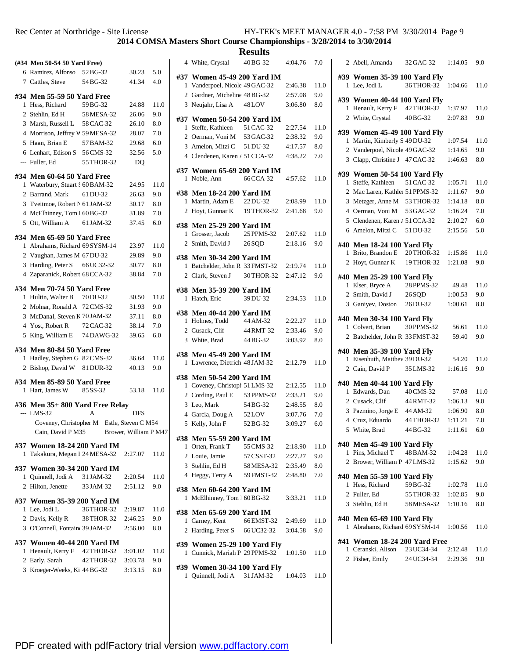**COMSA Masters Short Course Championships - 3/28/2014 to 3/30/2014**

|   | (#34 Men 50-54 50 Yard Free)     |            |                       |      |
|---|----------------------------------|------------|-----------------------|------|
|   | 6 Ramirez, Alfonso               | 52 BG-32   | 30.23                 | 5.0  |
|   | 7 Cattles, Steve                 | 54 BG-32   | 41.34                 | 4.0  |
|   | #34 Men 55-59 50 Yard Free       |            |                       |      |
| 1 | Hess, Richard                    | 59 BG-32   | 24.88                 | 11.0 |
|   | 2 Stehlin, Ed H 58 MESA-32       |            | 26.06                 | 9.0  |
|   | 3 Marsh, Russell L 58 CAC-32     |            | 26.10                 | 8.0  |
|   | 4 Morrison, Jeffrey V 59 MESA-32 |            | 28.07                 | 7.0  |
|   | 5 Haan, Brian E                  | 57 BAM-32  | 29.68                 | 6.0  |
|   | 6 Lenhart, Edison S              | 56 CMS-32  | 32.56                 | 5.0  |
|   | --- Fuller, Ed                   | 55 THOR-32 | DQ                    |      |
|   | #34 Men 60-64 50 Yard Free       |            |                       |      |
| 1 | Waterbury, Stuart : 60 BAM-32    |            | 24.95                 | 11.0 |
|   | 2 Barrand, Mark                  | 61 DU-32   | 26.63                 | 9.0  |
|   | 3 Tveitmoe, Robert N 61 JAM-32   |            | 30.17                 | 8.0  |
|   | 4 McElhinney, Tom 1 60 BG-32     |            | 31.89                 | 7.0  |
|   | 5 Ott, William A 61 JAM-32       |            | 37.45                 | 6.0  |
|   |                                  |            |                       |      |
|   | #34 Men 65-69 50 Yard Free       |            |                       |      |
| 1 | Abrahams, Richard 69 SYSM-14     |            | 23.97                 | 11.0 |
|   | 2 Vaughan, James M 67 DU-32      |            | 29.89                 | 9.0  |
| 3 | Harding, Peter S                 | 66 UC32-32 | 30.77                 | 8.0  |
|   | 4 Zaparanick, Robert 68 CCA-32   |            | 38.84                 | 7.0  |
|   | #34 Men 70-74 50 Yard Free       |            |                       |      |
| 1 | Hultin, Walter B                 | 70 DU-32   | 30.50                 | 11.0 |
|   | 2 Molnar, Ronald A 72 CMS-32     |            | 31.93                 | 9.0  |
|   | 3 McDanal, Steven K 70 JAM-32    |            | 37.11                 | 8.0  |
|   | 4 Yost, Robert R                 | 72 CAC-32  | 38.14                 | 7.0  |
| 5 | King, William E                  | 74 DAWG-32 | 39.65                 | 6.0  |
|   | #34 Men 80-84 50 Yard Free       |            |                       |      |
| 1 | Hadley, Stephen G 82 CMS-32      |            | 36.64                 | 11.0 |
|   | 2 Bishop, David W 81 DUR-32      |            | 40.13                 | 9.0  |
|   |                                  |            |                       |      |
|   | #34 Men 85-89 50 Yard Free       |            |                       |      |
|   | 1 Hart, James W 85 SS-32         |            | 53.18                 | 11.0 |
|   | #36 Men 35+800 Yard Free Relay   |            |                       |      |
|   | $-$ LMS-32                       | A          | <b>DFS</b>            |      |
|   | Coveney, Christopher M           |            | Estle, Steven C M54   |      |
|   | Cain, David P M35                |            | Brower, William P M47 |      |
|   | #37 Women 18-24 200 Yard IM      |            |                       |      |
| 1 | Takakura, Megan I 24 MESA-32     |            | 2:27.07               | 11.0 |
|   | #37 Women 30-34 200 Yard IM      |            |                       |      |
|   | 1 Quinnell, Jodi A               | 31 JAM-32  | 2:20.54               | 11.0 |
|   | 2 Hilton, Jenette                | 33 JAM-32  | 2:51.12               | 9.0  |
|   |                                  |            |                       |      |
|   | #37 Women 35-39 200 Yard IM      |            |                       |      |
| 1 | Lee, Jodi L                      | 36 THOR-32 | 2:19.87               | 11.0 |
|   | 2 Davis, Kelly R                 | 38 THOR-32 | 2:46.25               | 9.0  |
|   | 3 O'Connell, Fontain 39 JAM-32   |            | 2:56.00               | 8.0  |
|   | #37 Women 40-44 200 Yard IM      |            |                       |      |
| 1 | Henault, Kerry F                 | 42 THOR-32 | 3:01.02               | 11.0 |
|   | 2 Early, Sarah                   | 42 THOR-32 | 3:03.78               | 9.0  |
|   | 3 Kroeger-Weeks, Ki 44 BG-32     |            | 3:13.15               | 8.0  |

| <b>Results</b> |                                               |            |         |      |
|----------------|-----------------------------------------------|------------|---------|------|
|                | 4 White, Crystal                              | 40 BG-32   | 4:04.76 | 7.0  |
|                | #37 Women 45-49 200 Yard IM                   |            |         |      |
|                | 1 Vanderpoel, Nicole 49 GAC-32                |            | 2:46.38 | 11.0 |
|                | 2 Gardner, Micheline 48 BG-32                 |            | 2:57.08 | 9.0  |
|                | 3 Neujahr, Lisa A 48 LOV                      |            | 3:06.80 | 8.0  |
|                | #37 Women 50-54 200 Yard IM                   |            |         |      |
| 1              | Steffe, Kathleen                              | 51 CAC-32  | 2:27.54 | 11.0 |
|                | 2 Oerman, Voni M                              | 53 GAC-32  | 2:38.32 | 9.0  |
|                | 3 Amelon, Mitzi C                             | 51 DU-32   | 4:17.57 | 8.0  |
|                | 4 Clendenen, Karen / 51 CCA-32                |            | 4:38.22 | 7.0  |
|                | #37 Women 65-69 200 Yard IM                   |            |         |      |
| 1              | Noble, Ann                                    | 66 CCA-32  | 4:57.62 | 11.0 |
|                |                                               |            |         |      |
|                | #38 Men 18-24 200 Yard IM                     |            |         |      |
| l.             | Martin, Adam E                                | 22 DU-32   | 2:08.99 | 11.0 |
|                | 2 Hoyt, Gunnar K                              | 19 THOR-32 | 2:41.68 | 9.0  |
|                | #38 Men 25-29 200 Yard IM                     |            |         |      |
| 1              | Grosser, Jacob                                | 25 PPMS-32 | 2:07.62 | 11.0 |
|                | 2 Smith, David J                              | 26 SQD     | 2:18.16 | 9.0  |
|                | #38 Men 30-34 200 Yard IM                     |            |         |      |
|                | 1 Batchelder, John R 33 FMST-32               |            | 2:19.74 | 11.0 |
|                | 2 Clark, Steven J                             | 30 THOR-32 | 2:47.12 | 9.0  |
|                |                                               |            |         |      |
|                | #38 Men 35-39 200 Yard IM                     |            |         |      |
| 1              | Hatch, Eric                                   | 39 DU-32   | 2:34.53 | 11.0 |
|                | #38 Men 40-44 200 Yard IM                     |            |         |      |
| 1.             | Holmes, Todd                                  | 44 AM-32   | 2:22.27 | 11.0 |
|                |                                               |            |         |      |
|                | 2 Cusack, Clif                                | 44 RMT-32  | 2:33.46 | 9.0  |
|                | 3 White, Brad                                 | 44 BG-32   | 3:03.92 | 8.0  |
|                |                                               |            |         |      |
|                | #38 Men 45-49 200 Yard IM                     |            |         |      |
| 1              | Lawrence, Dietrich 48 JAM-32                  |            | 2:12.79 | 11.0 |
|                | #38 Men 50-54 200 Yard IM                     |            |         |      |
|                | 1 Coveney, Christoph 51 LMS-32                |            | 2:12.55 | 11.0 |
|                | 2 Cording, Paul E 53 PPMS-32                  |            | 2:33.21 | 9.0  |
|                | 3 Leo, Mark                                   | 54 BG-32   | 2:48.55 | 8.0  |
|                | 4 Garcia, Doug A                              | 52LOV      | 3:07.76 | 7.0  |
|                | 5 Kelly, John F                               | 52 BG-32   | 3:09.27 | 6.0  |
|                |                                               |            |         |      |
|                | #38 Men 55-59 200 Yard IM<br>1 Orten, Frank T | 55 CMS-32  | 2:18.90 | 11.0 |
|                | 2 Louie, Jamie                                | 57 CSST-32 | 2:27.27 | 9.0  |
|                | 3 Stehlin, Ed H                               | 58 MESA-32 | 2:35.49 | 8.0  |
|                | 4 Heggy, Terry A                              | 59 FMST-32 | 2:48.80 | 7.0  |
|                |                                               |            |         |      |
|                | #38 Men 60-64 200 Yard IM                     |            |         |      |
| 1              | McElhinney, Tom 1 60 BG-32                    |            | 3:33.21 | 11.0 |
|                | #38 Men 65-69 200 Yard IM                     |            |         |      |
|                | 1 Carney, Kent                                | 66 EMST-32 | 2:49.69 | 11.0 |
|                | 2 Harding, Peter S 66 UC32-32                 |            | 3:04.58 | 9.0  |
|                | #39 Women 25-29 100 Yard Fly                  |            |         |      |
| 1              | Cunnick, Mariah P 29 PPMS-32                  |            | 1:01.50 | 11.0 |
|                |                                               |            |         |      |
|                | #39 Women 30-34 100 Yard Fly                  |            |         |      |
|                | 1 Quinnell, Jodi A 31 JAM-32                  |            | 1:04.03 | 11.0 |

|              | 2 Abell, Amanda                                              | 32 GAC-32          | 1:14.05 | 9.0         |
|--------------|--------------------------------------------------------------|--------------------|---------|-------------|
|              | #39 Women 35-39 100 Yard Fly                                 |                    |         |             |
| 1            | Lee, Jodi L                                                  | 36THOR-32          | 1:04.66 | 11.0        |
|              | #39 Women 40-44 100 Yard Fly                                 |                    |         |             |
|              | 1 Henault, Kerry F                                           | 42 THOR-32         | 1:37.97 | 11.0        |
|              | 2 White, Crystal                                             | 40 BG-32           | 2:07.83 | 9.0         |
|              | #39 Women 45-49 100 Yard Fly                                 |                    |         |             |
| 1            | Martin, Kimberly S 49 DU-32                                  |                    | 1:07.54 | 11.0        |
|              | 2 Vanderpoel, Nicole 49 GAC-32                               |                    | 1:14.65 | 9.0         |
|              | 3 Clapp, Christine J 47 CAC-32                               |                    | 1:46.63 | 8.0         |
|              | #39 Women 50-54 100 Yard Fly                                 |                    |         |             |
| $\mathbf{1}$ | Steffe, Kathleen                                             | 51 CAC-32          | 1:05.71 | 11.0        |
|              | 2 Mac Laren, Kathlet 51 PPMS-32                              |                    | 1:11.67 | 9.0         |
| 3            | Metzger, Anne M 53 THOR-32                                   |                    | 1:14.18 | 8.0         |
|              | 4 Oerman, Voni M                                             | 53 GAC-32          | 1:16.24 | 7.0         |
|              | 5 Clendenen, Karen / 51 CCA-32                               |                    | 2:10.27 | 6.0         |
|              | 6 Amelon, Mitzi C                                            | 51 DU-32           | 2:15.56 | 5.0         |
|              | #40 Men 18-24 100 Yard Fly                                   |                    |         |             |
| 1            | Brito, Brandon E                                             | 20 THOR-32         | 1:15.86 | 11.0        |
| 2            | Hoyt, Gunnar K                                               | 19THOR-32          | 1:21.08 | 9.0         |
|              | #40 Men 25-29 100 Yard Fly                                   |                    |         |             |
|              | 1 Elser, Bryce A                                             | 28 PPMS-32         | 49.48   | 11.0        |
|              | 2 Smith, David J                                             | 26SQD              | 1:00.53 | 9.0         |
|              | 3 Ganiyev, Doston                                            | 26 DU-32           | 1:00.61 | 8.0         |
|              |                                                              |                    |         |             |
|              | #40 Men 30-34 100 Yard Fly<br>1 Colvert, Brian               | 30 PPMS-32         | 56.61   | 11.0        |
| 2            | Batchelder, John R 33 FMST-32                                |                    | 59.40   | 9.0         |
|              |                                                              |                    |         |             |
|              | #40 Men 35-39 100 Yard Fly                                   |                    |         |             |
|              | 1 Eisenhuth, Matthev 39 DU-32                                |                    | 54.20   | 11.0        |
|              | 2 Cain, David P                                              | 35 LMS-32          | 1:16.16 | 9.0         |
|              | #40 Men 40-44 100 Yard Fly                                   |                    |         |             |
|              | 1 Edwards, Dan                                               | 40 CMS-32          | 57.08   | 11.0        |
|              | 2 Cusack, Clif                                               | 44 RMT-32          | 1:06.13 | 9.0         |
|              | 3 Pazmino, Jorge E 44 AM-32                                  |                    | 1:06.90 | 8.0         |
|              | 4 Cruz, Eduardo                                              | 44 THOR-32         | 1:11.21 | 7.0         |
|              | 5 White, Brad                                                | 44 BG-32           | 1:11.61 | 6.0         |
|              | #40 Men 45-49 100 Yard Fly                                   |                    |         |             |
|              | 1 Pins, Michael T                                            | 48 BAM-32          | 1:04.28 | 11.0        |
|              | 2 Brower, William P 47 LMS-32                                |                    | 1:15.62 | 9.0         |
|              | #40 Men 55-59 100 Yard Fly                                   |                    |         |             |
|              | 1 Hess, Richard                                              | 59 BG-32           | 1:02.78 | 11.0        |
|              | 2 Fuller, Ed                                                 | 55 THOR-32 1:02.85 |         | 9.0         |
|              | 3 Stehlin, Ed H                                              | 58 MESA-32         | 1:10.16 | 8.0         |
|              |                                                              |                    |         |             |
|              | #40 Men 65-69 100 Yard Fly<br>1 Abrahams, Richard 69 SYSM-14 |                    | 1:00.56 | 11.0        |
|              |                                                              |                    |         |             |
|              | #41 Women 18-24 200 Yard Free                                |                    |         |             |
|              | 1 Ceranski, Alison 23 UC34-34 2:12.48                        |                    |         | 11.0<br>9.0 |
|              | 2 Fisher, Emily                                              | 24 UC34-34 2:29.36 |         |             |
|              |                                                              |                    |         |             |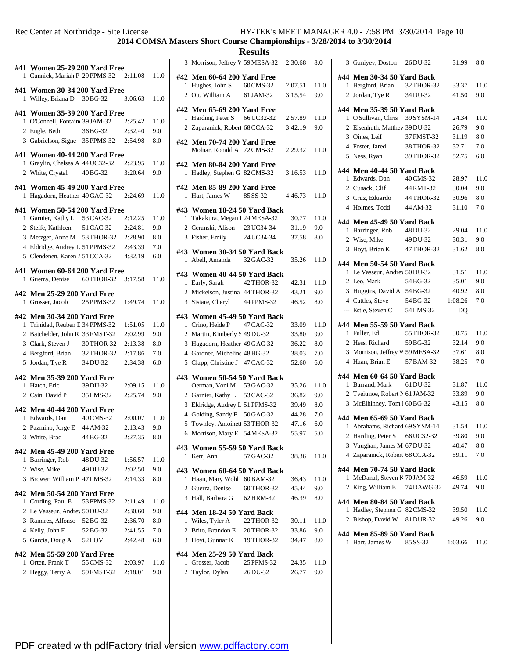**COMSA Masters Short Course Championships - 3/28/2014 to 3/30/2014**

|     | #41 Women 25-29 200 Yard Free<br>1 Cunnick, Mariah P 29 PPMS-32 2:11.08 |                  |         | 11.0         | # |
|-----|-------------------------------------------------------------------------|------------------|---------|--------------|---|
|     |                                                                         |                  |         |              |   |
| 1   | #41 Women 30-34 200 Yard Free<br>Willey, Briana D 30 BG-32              |                  | 3:06.63 | 11.0         |   |
|     | #41 Women 35-39 200 Yard Free                                           |                  |         |              | # |
| 1   | O'Connell, Fontain 39 JAM-32                                            |                  | 2:25.42 | 11.0         |   |
|     | 2 Engle, Beth                                                           | 36 BG-32 2:32.40 |         | 9.0          |   |
|     | 3 Gabrielson, Signe 35 PPMS-32 2:54.98                                  |                  |         | $_{\rm 8.0}$ | # |
|     | #41 Women 40-44 200 Yard Free                                           |                  |         |              |   |
| 1   | Graylin, Chelsea A 44 UC32-32 2:23.95                                   |                  | 3:20.64 | 11.0         | # |
|     | 2 White, Crystal 40BG-32                                                |                  |         | 9.0          |   |
| 1   | #41 Women 45-49 200 Yard Free<br>Hagadorn, Heather 49 GAC-32            |                  | 2:24.69 | 11.0         | # |
|     |                                                                         |                  |         |              |   |
|     | #41 Women 50-54 200 Yard Free<br>1 Garnier, Kathy L 53 CAC-32           |                  | 2:12.25 | 11.0         | # |
|     | 2 Steffe, Kathleen 51 CAC-32 2:24.81                                    |                  |         | 9.0          |   |
|     | 3 Metzger, Anne M 53 THOR-32 2:28.90                                    |                  |         | $_{\rm 8.0}$ |   |
|     | 4 Eldridge, Audrey L 51 PPMS-32 2:43.39                                 |                  |         | 7.0          |   |
|     | 5 Clendenen, Karen / 51 CCA-32                                          |                  | 4:32.19 | 6.0          | # |
|     |                                                                         |                  |         |              |   |
| #41 | Women 60-64 200 Yard Free                                               |                  |         |              | # |
| 1   | Guerra, Denise 60 THOR-32 3:17.58                                       |                  |         | 11.0         |   |
|     | #42 Men 25-29 200 Yard Free                                             |                  |         |              |   |
|     | 1 Grosser, Jacob 25 PPMS-32                                             |                  | 1:49.74 | 11.0         |   |
|     |                                                                         |                  |         |              |   |
|     | #42 Men 30-34 200 Yard Free                                             |                  |         |              | # |
|     | 1 Trinidad, Reuben I 34 PPMS-32                                         |                  | 1:51.05 | 11.0         |   |
|     | 2 Batchelder, John R 33 FMST-32                                         |                  | 2:02.99 | 9.0          |   |
|     | 3 Clark, Steven J                                                       | 30 THOR-32       | 2:13.38 | 8.0          |   |
|     | 4 Bergford, Brian                                                       | 32 THOR-32       | 2:17.86 | 7.0          |   |
|     | 5 Jordan, Tye R                                                         | 34 DU-32         | 2:34.38 | 6.0          |   |
|     | #42 Men 35-39 200 Yard Free                                             |                  |         |              | # |
|     | 1 Hatch, Eric                                                           | 39 DU-32         | 2:09.15 | 11.0         |   |
|     | 2 Cain, David P 35 LMS-32                                               |                  | 2:25.74 | 9.0          |   |
|     |                                                                         |                  |         |              |   |
|     | #42 Men 40-44 200 Yard Free                                             |                  |         |              |   |
|     | 1 Edwards, Dan                                                          | 40 CMS-32        | 2:00.07 | 11.0         |   |
|     | 2 Pazmino, Jorge E 44 AM-32                                             |                  | 2:13.43 | 9.0          |   |
|     | 3 White, Brad                                                           | 44 BG-32         | 2:27.35 | 8.0          |   |
|     | #42 Men 45-49 200 Yard Free                                             |                  |         |              | # |
|     | 1 Barringer, Rob 48 DU-32                                               |                  | 1:56.57 | 11.0         |   |
|     | 2 Wise, Mike                                                            | 49 DU-32         | 2:02.50 | 9.0          | # |
|     | 3 Brower, William P 47 LMS-32                                           |                  | 2:14.33 | 8.0          |   |
|     | #42 Men 50-54 200 Yard Free                                             |                  |         |              |   |
|     | 1 Cording, Paul E 53 PPMS-32                                            |                  | 2:11.49 | 11.0         |   |
|     | 2 Le Vasseur, Andrey 50 DU-32                                           |                  | 2:30.60 | 9.0          |   |
|     | 3 Ramirez, Alfonso 52 BG-32                                             |                  | 2:36.70 | 8.0          | # |
|     | 4 Kelly, John F                                                         | 52 BG-32         | 2:41.55 | 7.0          |   |
|     | 5 Garcia, Doug A 52 LOV                                                 |                  | 2:42.48 | 6.0          |   |
|     |                                                                         |                  |         |              |   |
|     | #42 Men 55-59 200 Yard Free                                             |                  |         |              | # |
|     | 1 Orten, Frank T                                                        | 55 CMS-32        | 2:03.97 | 11.0         |   |
|     | 2 Heggy, Terry A 59 FMST-32                                             |                  | 2:18.01 | 9.0          |   |
|     |                                                                         |                  |         |              |   |

|   | 3 Morrison, Jeffrey W 59 MESA-32                                 |            | 2:30.68        | 8.0         |
|---|------------------------------------------------------------------|------------|----------------|-------------|
|   | #42 Men 60-64 200 Yard Free                                      |            |                |             |
| 1 | Hughes, John S                                                   | 60 CMS-32  | 2:07.51        | 11.0        |
|   | 2 Ott, William A 61 JAM-32                                       |            | 3:15.54        | 9.0         |
|   | #42 Men 65-69 200 Yard Free                                      |            |                |             |
|   | 1 Harding, Peter S 66 UC32-32                                    |            | 2:57.89        | 11.0        |
|   | 2 Zaparanick, Robert 68 CCA-32                                   |            | 3:42.19        | 9.0         |
|   | #42 Men 70-74 200 Yard Free                                      |            |                |             |
| 1 | Molnar, Ronald A 72 CMS-32                                       |            | 2:29.32        | 11.0        |
|   | #42 Men 80-84 200 Yard Free                                      |            |                |             |
| 1 | Hadley, Stephen G 82 CMS-32                                      |            | 3:16.53        | 11.0        |
|   |                                                                  |            |                |             |
| 1 | #42 Men 85-89 200 Yard Free<br>Hart, James W                     | 85 SS-32   | 4:46.73        | 11.0        |
|   |                                                                  |            |                |             |
|   | #43 Women 18-24 50 Yard Back                                     |            |                |             |
|   | 1 Takakura, Megan I 24 MESA-32<br>2 Ceranski, Alison 23 UC34-34  |            | 30.77<br>31.19 | 11.0<br>9.0 |
|   | 3 Fisher, Emily                                                  | 24 UC34-34 | 37.58          | 8.0         |
|   |                                                                  |            |                |             |
|   | #43 Women 30-34 50 Yard Back                                     |            |                |             |
|   | 1 Abell, Amanda 32 GAC-32                                        |            | 35.26          | 11.0        |
|   | #43 Women 40-44 50 Yard Back                                     |            |                |             |
|   | 1 Early, Sarah                                                   | 42 THOR-32 | 42.31          | 11.0        |
|   | 2 Mickelson, Justina 44 THOR-32                                  |            | 43.21          | 9.0         |
|   | 3 Sistare, Cheryl                                                | 44 PPMS-32 | 46.52          | 8.0         |
|   | #43 Women 45-49 50 Yard Back                                     |            |                |             |
| 1 | Crino, Heide P                                                   | 47 CAC-32  | 33.09          | 11.0        |
|   | 2 Martin, Kimberly S 49 DU-32                                    |            | 33.80          | 9.0         |
|   | 3 Hagadorn, Heather 49 GAC-32                                    |            | 36.22          | 8.0         |
|   | 4 Gardner, Micheline 48 BG-32                                    |            | 38.03          | 7.0         |
|   | 5 Clapp, Christine J 47 CAC-32                                   |            | 52.60          | 6.0         |
|   | #43 Women 50-54 50 Yard Back                                     |            |                |             |
| 1 | Oerman, Voni M 53 GAC-32                                         |            | 35.26          | 11.0        |
|   | 2 Garnier, Kathy L 53 CAC-32                                     |            | 36.82          | 9.0         |
|   | 3 Eldridge, Audrey L 51 PPMS-32                                  |            | 39.49          | 8.0         |
|   | 4 Golding, Sandy F 50 GAC-32                                     |            | 44.28          | 7.0         |
|   | 5 Townley, Antoinett 53 THOR-32<br>6 Morrison, Mary E 54 MESA-32 |            | 47.16<br>55.97 | 6.0<br>5.0  |
|   |                                                                  |            |                |             |
|   | #43 Women 55-59 50 Yard Back                                     |            |                |             |
| 1 | Kerr, Ann                                                        | 57 GAC-32  | 38.36          | 11.0        |
|   | #43 Women 60-64 50 Yard Back                                     |            |                |             |
|   | 1 Haan, Mary Wohl 60 BAM-32                                      |            | 36.43          | 11.0        |
|   | 2 Guerra, Denise                                                 | 60 THOR-32 | 45.44          | 9.0         |
|   | 3 Hall, Barbara G                                                | 62 HRM-32  | 46.39          | 8.0         |
|   | #44 Men 18-24 50 Yard Back                                       |            |                |             |
|   | 1 Wiles, Tyler A                                                 | 22 THOR-32 | 30.11          | 11.0        |
|   | 2 Brito, Brandon E 20 THOR-32                                    |            | 33.86          | 9.0         |
|   | 3 Hoyt, Gunnar K 19THOR-32                                       |            | 34.47          | 8.0         |
|   | #44 Men 25-29 50 Yard Back                                       |            |                |             |
|   | 1 Grosser, Jacob                                                 | 25 PPMS-32 | 24.35          | 11.0        |
|   | 2 Taylor, Dylan                                                  | 26 DU-32   | 26.77          | 9.0         |

|    | 3 Ganiyev, Doston 26 DU-32                                |            | 31.99   | 8.0  |
|----|-----------------------------------------------------------|------------|---------|------|
|    | #44 Men 30-34 50 Yard Back                                |            |         |      |
| 1  | Bergford, Brian                                           | 32 THOR-32 | 33.37   | 11.0 |
|    | 2 Jordan, Tye R                                           | 34 DU-32   | 41.50   | 9.0  |
|    | #44 Men 35-39 50 Yard Back                                |            |         |      |
| 1  | O'Sullivan, Chris 39 SYSM-14                              |            | 24.34   | 11.0 |
|    | 2 Eisenhuth, Matthev 39 DU-32                             |            | 26.79   | 9.0  |
|    | 3 Oines, Leif                                             | 37 FMST-32 | 31.19   | 8.0  |
|    | 4 Foster, Jared                                           | 38 THOR-32 | 32.71   | 7.0  |
|    | 5 Ness, Ryan                                              | 39 THOR-32 | 52.75   | 6.0  |
|    | #44 Men 40-44 50 Yard Back                                |            |         |      |
|    | 1 Edwards, Dan                                            | 40 CMS-32  | 28.97   | 11.0 |
|    | 2 Cusack, Clif                                            | 44 RMT-32  | 30.04   | 9.0  |
|    | 3 Cruz, Eduardo                                           | 44 THOR-32 | 30.96   | 8.0  |
|    | 4 Holmes, Todd                                            | 44 AM-32   | 31.10   | 7.0  |
|    | #44 Men 45-49 50 Yard Back                                |            |         |      |
| 1  | Barringer, Rob                                            | 48 DU-32   | 29.04   | 11.0 |
|    | 2 Wise, Mike                                              | 49 DU-32   | 30.31   | 9.0  |
|    | 3 Hoyt, Brian K                                           | 47 THOR-32 | 31.62   | 8.0  |
|    | #44 Men 50-54 50 Yard Back                                |            |         |      |
| 1. | Le Vasseur, Andrey 50 DU-32                               |            | 31.51   | 11.0 |
|    | 2 Leo, Mark                                               | 54 BG-32   | 35.01   | 9.0  |
|    | 3 Huggins, David A 54 BG-32                               |            | 40.92   | 8.0  |
|    | 4 Cattles, Steve                                          | 54 BG-32   | 1:08.26 | 7.0  |
|    | --- Estle, Steven C                                       | 54 LMS-32  | DQ      |      |
|    | #44 Men 55-59 50 Yard Back                                |            |         |      |
|    | 1 Fuller, Ed                                              | 55 THOR-32 | 30.75   | 11.0 |
|    | 2 Hess, Richard                                           | 59 BG-32   | 32.14   | 9.0  |
|    | 3 Morrison, Jeffrey W 59 MESA-32                          |            | 37.61   | 8.0  |
|    | 4 Haan, Brian E                                           | 57 BAM-32  | 38.25   | 7.0  |
|    | #44 Men 60-64 50 Yard Back                                |            |         |      |
|    | 1 Barrand, Mark                                           | 61 DU-32   | 31.87   | 11.0 |
|    | 2 Tveitmoe, Robert N 61 JAM-32                            |            | 33.89   | 9.0  |
|    | 3 McElhinney, Tom 1 60 BG-32                              |            | 43.15   | 8.0  |
|    | #44 Men 65-69 50 Yard Back                                |            |         |      |
| 1  | Abrahams, Richard 69 SYSM-14                              |            | 31.54   | 11.0 |
|    | 2 Harding, Peter S 66 UC32-32                             |            | 39.80   | 9.0  |
|    | 3 Vaughan, James M 67 DU-32                               |            | 40.47   | 8.0  |
|    | 4 Zaparanick, Robert 68 CCA-32                            |            | 59.11   | 7.0  |
|    | #44 Men 70-74 50 Yard Back                                |            |         |      |
| 1  | McDanal, Steven K 70 JAM-32                               |            | 46.59   | 11.0 |
|    | 2 King, William E                                         | 74 DAWG-32 | 49.74   | 9.0  |
|    |                                                           |            |         |      |
| 1  | #44 Men 80-84 50 Yard Back<br>Hadley, Stephen G 82 CMS-32 |            | 39.50   | 11.0 |
|    | 2 Bishop, David W 81 DUR-32                               |            | 49.26   | 9.0  |
|    |                                                           |            |         |      |
|    | #44 Men 85-89 50 Yard Back                                |            |         |      |
| 1  | Hart, James W                                             | 85 SS-32   | 1:03.66 | 11.0 |
|    |                                                           |            |         |      |